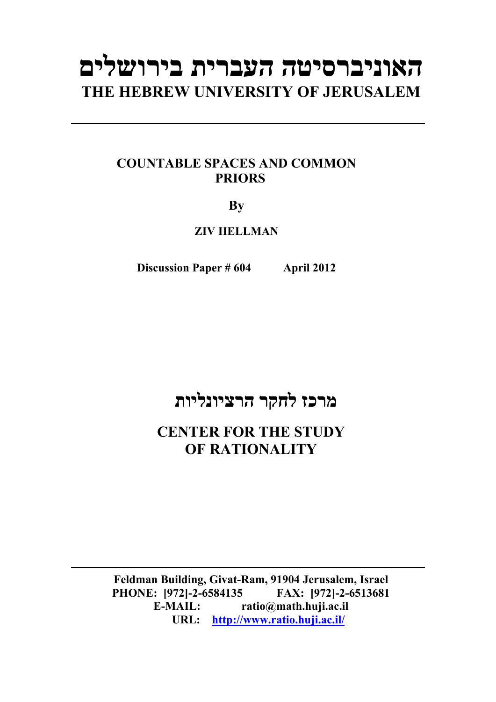# **האוניברסיטה העברית בירושלים THE HEBREW UNIVERSITY OF JERUSALEM**

## **COUNTABLE SPACES AND COMMON PRIORS**

### **By**

**ZIV HELLMAN** 

**Discussion Paper # 604 April 2012**

## **מרכז לחקר הרציונליות**

**CENTER FOR THE STUDY OF RATIONALITY** 

**Feldman Building, Givat-Ram, 91904 Jerusalem, Israel PHONE: [972]-2-6584135 FAX: [972]-2-6513681 E-MAIL: ratio@math.huji.ac.il URL: http://www.ratio.huji.ac.il/**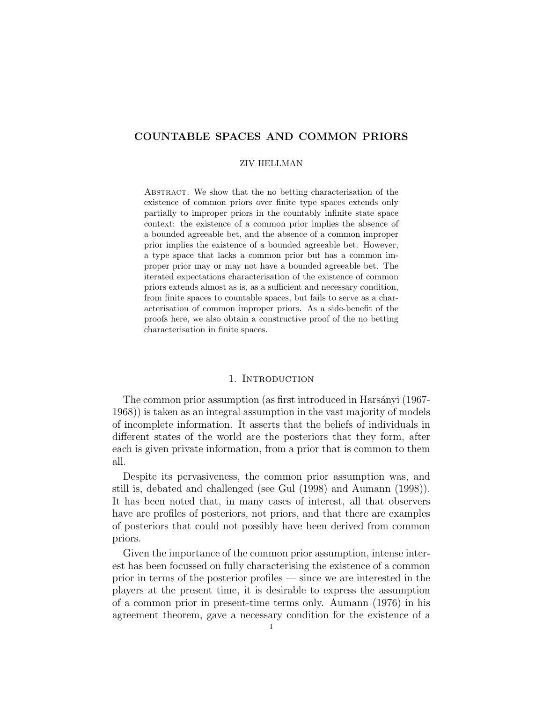#### COUNTABLE SPACES AND COMMON PRIORS

#### ZIV HELLMAN

Abstract. We show that the no betting characterisation of the existence of common priors over finite type spaces extends only partially to improper priors in the countably infinite state space context: the existence of a common prior implies the absence of a bounded agreeable bet, and the absence of a common improper prior implies the existence of a bounded agreeable bet. However, a type space that lacks a common prior but has a common improper prior may or may not have a bounded agreeable bet. The iterated expectations characterisation of the existence of common priors extends almost as is, as a sufficient and necessary condition, from finite spaces to countable spaces, but fails to serve as a characterisation of common improper priors. As a side-benefit of the proofs here, we also obtain a constructive proof of the no betting characterisation in finite spaces.

#### 1. INTRODUCTION

The common prior assumption (as first introduced in Harsányi (1967-1968)) is taken as an integral assumption in the vast majority of models of incomplete information. It asserts that the beliefs of individuals in different states of the world are the posteriors that they form, after each is given private information, from a prior that is common to them all.

Despite its pervasiveness, the common prior assumption was, and still is, debated and challenged (see Gul (1998) and Aumann (1998)). It has been noted that, in many cases of interest, all that observers have are profiles of posteriors, not priors, and that there are examples of posteriors that could not possibly have been derived from common priors.

Given the importance of the common prior assumption, intense interest has been focussed on fully characterising the existence of a common prior in terms of the posterior profiles — since we are interested in the players at the present time, it is desirable to express the assumption of a common prior in present-time terms only. Aumann (1976) in his agreement theorem, gave a necessary condition for the existence of a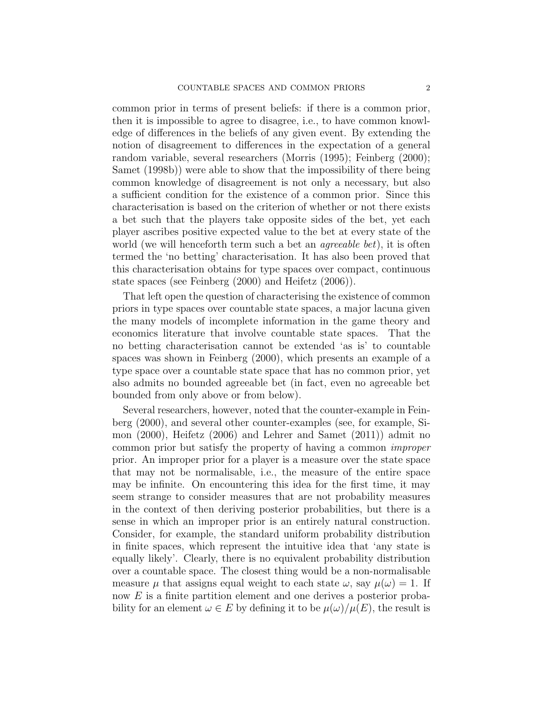common prior in terms of present beliefs: if there is a common prior, then it is impossible to agree to disagree, i.e., to have common knowledge of differences in the beliefs of any given event. By extending the notion of disagreement to differences in the expectation of a general random variable, several researchers (Morris (1995); Feinberg (2000); Samet (1998b)) were able to show that the impossibility of there being common knowledge of disagreement is not only a necessary, but also a sufficient condition for the existence of a common prior. Since this characterisation is based on the criterion of whether or not there exists a bet such that the players take opposite sides of the bet, yet each player ascribes positive expected value to the bet at every state of the world (we will henceforth term such a bet an *agreeable bet*), it is often termed the 'no betting' characterisation. It has also been proved that this characterisation obtains for type spaces over compact, continuous state spaces (see Feinberg (2000) and Heifetz (2006)).

That left open the question of characterising the existence of common priors in type spaces over countable state spaces, a major lacuna given the many models of incomplete information in the game theory and economics literature that involve countable state spaces. That the no betting characterisation cannot be extended 'as is' to countable spaces was shown in Feinberg (2000), which presents an example of a type space over a countable state space that has no common prior, yet also admits no bounded agreeable bet (in fact, even no agreeable bet bounded from only above or from below).

Several researchers, however, noted that the counter-example in Feinberg (2000), and several other counter-examples (see, for example, Simon (2000), Heifetz (2006) and Lehrer and Samet (2011)) admit no common prior but satisfy the property of having a common improper prior. An improper prior for a player is a measure over the state space that may not be normalisable, i.e., the measure of the entire space may be infinite. On encountering this idea for the first time, it may seem strange to consider measures that are not probability measures in the context of then deriving posterior probabilities, but there is a sense in which an improper prior is an entirely natural construction. Consider, for example, the standard uniform probability distribution in finite spaces, which represent the intuitive idea that 'any state is equally likely'. Clearly, there is no equivalent probability distribution over a countable space. The closest thing would be a non-normalisable measure  $\mu$  that assigns equal weight to each state  $\omega$ , say  $\mu(\omega) = 1$ . If now E is a finite partition element and one derives a posterior probability for an element  $\omega \in E$  by defining it to be  $\mu(\omega)/\mu(E)$ , the result is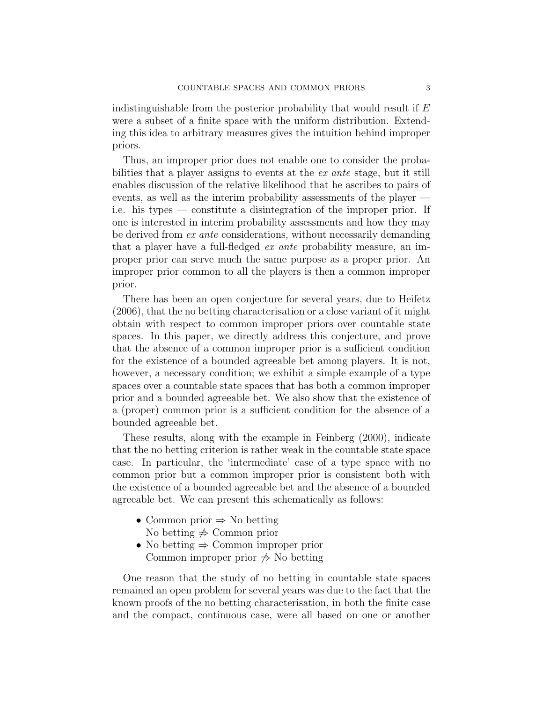indistinguishable from the posterior probability that would result if  $E$ were a subset of a finite space with the uniform distribution. Extending this idea to arbitrary measures gives the intuition behind improper priors.

Thus, an improper prior does not enable one to consider the probabilities that a player assigns to events at the ex ante stage, but it still enables discussion of the relative likelihood that he ascribes to pairs of events, as well as the interim probability assessments of the player i.e. his types — constitute a disintegration of the improper prior. If one is interested in interim probability assessments and how they may be derived from ex ante considerations, without necessarily demanding that a player have a full-fledged ex ante probability measure, an improper prior can serve much the same purpose as a proper prior. An improper prior common to all the players is then a common improper prior.

There has been an open conjecture for several years, due to Heifetz (2006), that the no betting characterisation or a close variant of it might obtain with respect to common improper priors over countable state spaces. In this paper, we directly address this conjecture, and prove that the absence of a common improper prior is a sufficient condition for the existence of a bounded agreeable bet among players. It is not, however, a necessary condition; we exhibit a simple example of a type spaces over a countable state spaces that has both a common improper prior and a bounded agreeable bet. We also show that the existence of a (proper) common prior is a sufficient condition for the absence of a bounded agreeable bet.

These results, along with the example in Feinberg (2000), indicate that the no betting criterion is rather weak in the countable state space case. In particular, the 'intermediate' case of a type space with no common prior but a common improper prior is consistent both with the existence of a bounded agreeable bet and the absence of a bounded agreeable bet. We can present this schematically as follows:

- Common prior  $\Rightarrow$  No betting No betting  $\neq$  Common prior
- No betting  $\Rightarrow$  Common improper prior Common improper prior  $\Rightarrow$  No betting

One reason that the study of no betting in countable state spaces remained an open problem for several years was due to the fact that the known proofs of the no betting characterisation, in both the finite case and the compact, continuous case, were all based on one or another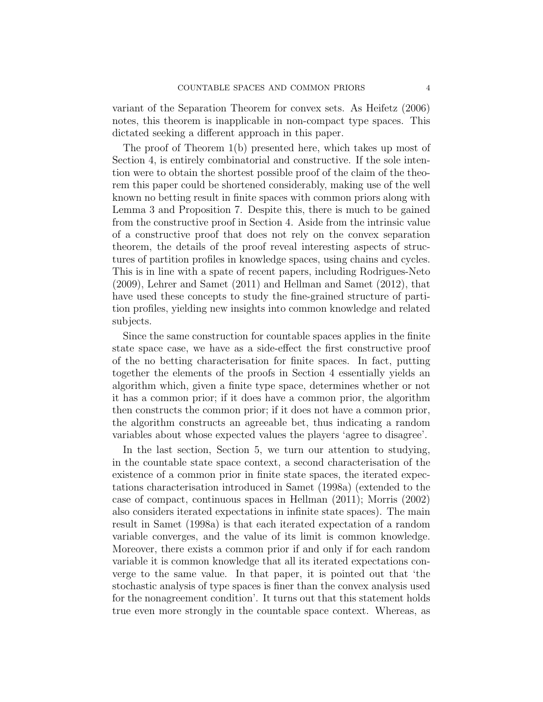variant of the Separation Theorem for convex sets. As Heifetz (2006) notes, this theorem is inapplicable in non-compact type spaces. This dictated seeking a different approach in this paper.

The proof of Theorem 1(b) presented here, which takes up most of Section 4, is entirely combinatorial and constructive. If the sole intention were to obtain the shortest possible proof of the claim of the theorem this paper could be shortened considerably, making use of the well known no betting result in finite spaces with common priors along with Lemma 3 and Proposition 7. Despite this, there is much to be gained from the constructive proof in Section 4. Aside from the intrinsic value of a constructive proof that does not rely on the convex separation theorem, the details of the proof reveal interesting aspects of structures of partition profiles in knowledge spaces, using chains and cycles. This is in line with a spate of recent papers, including Rodrigues-Neto (2009), Lehrer and Samet (2011) and Hellman and Samet (2012), that have used these concepts to study the fine-grained structure of partition profiles, yielding new insights into common knowledge and related subjects.

Since the same construction for countable spaces applies in the finite state space case, we have as a side-effect the first constructive proof of the no betting characterisation for finite spaces. In fact, putting together the elements of the proofs in Section 4 essentially yields an algorithm which, given a finite type space, determines whether or not it has a common prior; if it does have a common prior, the algorithm then constructs the common prior; if it does not have a common prior, the algorithm constructs an agreeable bet, thus indicating a random variables about whose expected values the players 'agree to disagree'.

In the last section, Section 5, we turn our attention to studying, in the countable state space context, a second characterisation of the existence of a common prior in finite state spaces, the iterated expectations characterisation introduced in Samet (1998a) (extended to the case of compact, continuous spaces in Hellman (2011); Morris (2002) also considers iterated expectations in infinite state spaces). The main result in Samet (1998a) is that each iterated expectation of a random variable converges, and the value of its limit is common knowledge. Moreover, there exists a common prior if and only if for each random variable it is common knowledge that all its iterated expectations converge to the same value. In that paper, it is pointed out that 'the stochastic analysis of type spaces is finer than the convex analysis used for the nonagreement condition'. It turns out that this statement holds true even more strongly in the countable space context. Whereas, as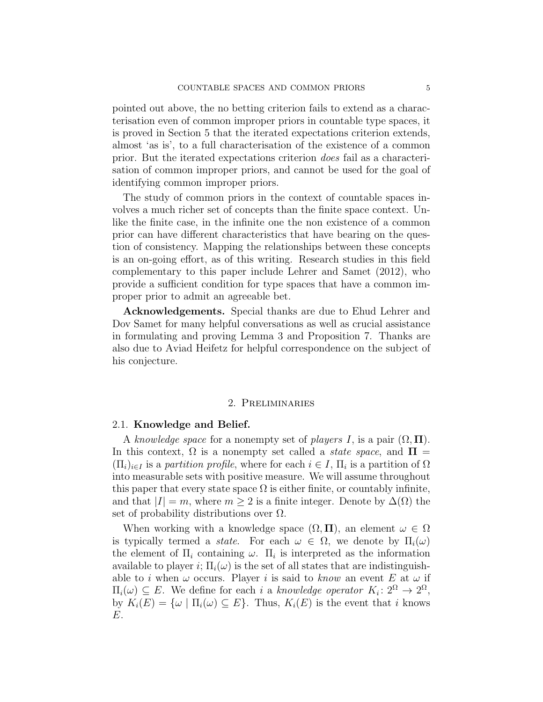pointed out above, the no betting criterion fails to extend as a characterisation even of common improper priors in countable type spaces, it is proved in Section 5 that the iterated expectations criterion extends, almost 'as is', to a full characterisation of the existence of a common prior. But the iterated expectations criterion does fail as a characterisation of common improper priors, and cannot be used for the goal of identifying common improper priors.

The study of common priors in the context of countable spaces involves a much richer set of concepts than the finite space context. Unlike the finite case, in the infinite one the non existence of a common prior can have different characteristics that have bearing on the question of consistency. Mapping the relationships between these concepts is an on-going effort, as of this writing. Research studies in this field complementary to this paper include Lehrer and Samet (2012), who provide a sufficient condition for type spaces that have a common improper prior to admit an agreeable bet.

Acknowledgements. Special thanks are due to Ehud Lehrer and Dov Samet for many helpful conversations as well as crucial assistance in formulating and proving Lemma 3 and Proposition 7. Thanks are also due to Aviad Heifetz for helpful correspondence on the subject of his conjecture.

#### 2. Preliminaries

#### 2.1. Knowledge and Belief.

A knowledge space for a nonempty set of players I, is a pair  $(\Omega, \Pi)$ . In this context,  $\Omega$  is a nonempty set called a *state space*, and  $\Pi$  =  $(\Pi_i)_{i \in I}$  is a partition profile, where for each  $i \in I$ ,  $\Pi_i$  is a partition of  $\Omega$ into measurable sets with positive measure. We will assume throughout this paper that every state space  $\Omega$  is either finite, or countably infinite, and that  $|I| = m$ , where  $m \geq 2$  is a finite integer. Denote by  $\Delta(\Omega)$  the set of probability distributions over  $\Omega$ .

When working with a knowledge space  $(\Omega, \Pi)$ , an element  $\omega \in \Omega$ is typically termed a *state*. For each  $\omega \in \Omega$ , we denote by  $\Pi_i(\omega)$ the element of  $\Pi_i$  containing  $\omega$ .  $\Pi_i$  is interpreted as the information available to player i;  $\Pi_i(\omega)$  is the set of all states that are indistinguishable to i when  $\omega$  occurs. Player i is said to know an event E at  $\omega$  if  $\Pi_i(\omega) \subseteq E$ . We define for each i a knowledge operator  $K_i: 2^{\Omega} \to 2^{\Omega}$ , by  $K_i(E) = {\omega | \Pi_i(\omega) \subseteq E}.$  Thus,  $K_i(E)$  is the event that i knows E.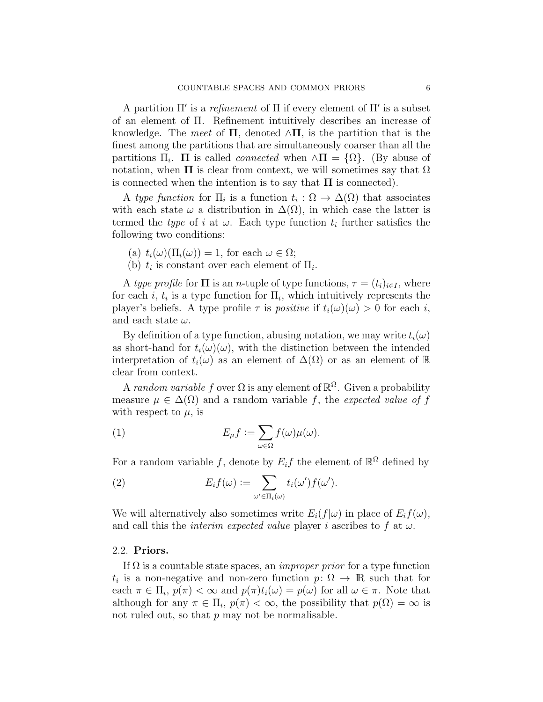A partition  $\Pi'$  is a refinement of  $\Pi$  if every element of  $\Pi'$  is a subset of an element of Π. Refinement intuitively describes an increase of knowledge. The meet of  $\Pi$ , denoted  $\wedge \Pi$ , is the partition that is the finest among the partitions that are simultaneously coarser than all the partitions  $\Pi_i$ .  $\Pi$  is called *connected* when  $\wedge \Pi = {\Omega}$ . (By abuse of notation, when  $\Pi$  is clear from context, we will sometimes say that  $\Omega$ is connected when the intention is to say that  $\Pi$  is connected).

A type function for  $\Pi_i$  is a function  $t_i : \Omega \to \Delta(\Omega)$  that associates with each state  $\omega$  a distribution in  $\Delta(\Omega)$ , in which case the latter is termed the *type* of i at  $\omega$ . Each type function  $t_i$  further satisfies the following two conditions:

- (a)  $t_i(\omega)(\Pi_i(\omega)) = 1$ , for each  $\omega \in \Omega$ ;
- (b)  $t_i$  is constant over each element of  $\Pi_i$ .

A type profile for  $\Pi$  is an *n*-tuple of type functions,  $\tau = (t_i)_{i \in I}$ , where for each *i*,  $t_i$  is a type function for  $\Pi_i$ , which intuitively represents the player's beliefs. A type profile  $\tau$  is *positive* if  $t_i(\omega)(\omega) > 0$  for each i, and each state  $\omega$ .

By definition of a type function, abusing notation, we may write  $t_i(\omega)$ as short-hand for  $t_i(\omega)(\omega)$ , with the distinction between the intended interpretation of  $t_i(\omega)$  as an element of  $\Delta(\Omega)$  or as an element of R clear from context.

A random variable f over  $\Omega$  is any element of  $\mathbb{R}^{\Omega}$ . Given a probability measure  $\mu \in \Delta(\Omega)$  and a random variable f, the expected value of f with respect to  $\mu$ , is

(1) 
$$
E_{\mu}f := \sum_{\omega \in \Omega} f(\omega)\mu(\omega).
$$

For a random variable f, denote by  $E_i f$  the element of  $\mathbb{R}^{\Omega}$  defined by

(2) 
$$
E_i f(\omega) := \sum_{\omega' \in \Pi_i(\omega)} t_i(\omega') f(\omega').
$$

We will alternatively also sometimes write  $E_i(f|\omega)$  in place of  $E_i f(\omega)$ , and call this the *interim expected value* player *i* ascribes to f at  $\omega$ .

#### 2.2. Priors.

If  $\Omega$  is a countable state spaces, an *improper prior* for a type function  $t_i$  is a non-negative and non-zero function  $p: \Omega \to \mathbb{R}$  such that for each  $\pi \in \Pi_i$ ,  $p(\pi) < \infty$  and  $p(\pi)t_i(\omega) = p(\omega)$  for all  $\omega \in \pi$ . Note that although for any  $\pi \in \Pi_i$ ,  $p(\pi) < \infty$ , the possibility that  $p(\Omega) = \infty$  is not ruled out, so that  $p$  may not be normalisable.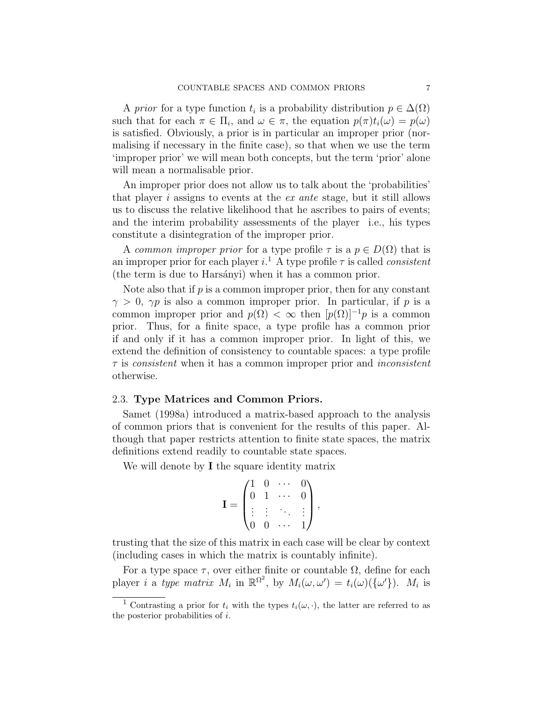A prior for a type function  $t_i$  is a probability distribution  $p \in \Delta(\Omega)$ such that for each  $\pi \in \Pi_i$ , and  $\omega \in \pi$ , the equation  $p(\pi)t_i(\omega) = p(\omega)$ is satisfied. Obviously, a prior is in particular an improper prior (normalising if necessary in the finite case), so that when we use the term 'improper prior' we will mean both concepts, but the term 'prior' alone will mean a normalisable prior.

An improper prior does not allow us to talk about the 'probabilities' that player i assigns to events at the ex ante stage, but it still allows us to discuss the relative likelihood that he ascribes to pairs of events; and the interim probability assessments of the player i.e., his types constitute a disintegration of the improper prior.

A common improper prior for a type profile  $\tau$  is a  $p \in D(\Omega)$  that is an improper prior for each player  $i^1$ . A type profile  $\tau$  is called *consistent* (the term is due to Harsányi) when it has a common prior.

Note also that if  $p$  is a common improper prior, then for any constant  $\gamma > 0$ ,  $\gamma p$  is also a common improper prior. In particular, if p is a common improper prior and  $p(\Omega) < \infty$  then  $[p(\Omega)]^{-1}p$  is a common prior. Thus, for a finite space, a type profile has a common prior if and only if it has a common improper prior. In light of this, we extend the definition of consistency to countable spaces: a type profile  $\tau$  is consistent when it has a common improper prior and *inconsistent* otherwise.

#### 2.3. Type Matrices and Common Priors.

Samet (1998a) introduced a matrix-based approach to the analysis of common priors that is convenient for the results of this paper. Although that paper restricts attention to finite state spaces, the matrix definitions extend readily to countable state spaces.

We will denote by **I** the square identity matrix

$$
\mathbf{I} = \begin{pmatrix} 1 & 0 & \cdots & 0 \\ 0 & 1 & \cdots & 0 \\ \vdots & \vdots & \ddots & \vdots \\ 0 & 0 & \cdots & 1 \end{pmatrix},
$$

trusting that the size of this matrix in each case will be clear by context (including cases in which the matrix is countably infinite).

For a type space  $\tau$ , over either finite or countable  $\Omega$ , define for each player *i* a type matrix  $M_i$  in  $\mathbb{R}^{\Omega^2}$ , by  $M_i(\omega, \omega') = t_i(\omega)(\{\omega'\})$ .  $M_i$  is

Contrasting a prior for  $t_i$  with the types  $t_i(\omega, \cdot)$ , the latter are referred to as the posterior probabilities of i.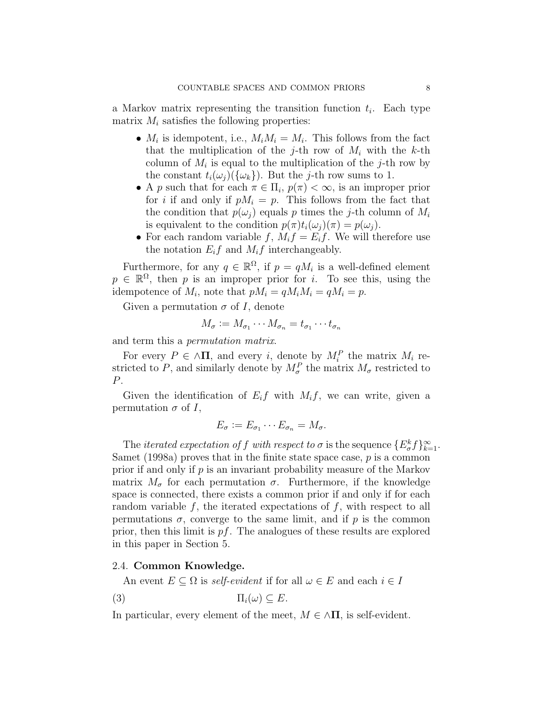a Markov matrix representing the transition function  $t_i$ . Each type matrix  $M_i$  satisfies the following properties:

- $M_i$  is idempotent, i.e.,  $M_i M_i = M_i$ . This follows from the fact that the multiplication of the j-th row of  $M_i$  with the k-th column of  $M_i$  is equal to the multiplication of the j-th row by the constant  $t_i(\omega_j)(\{\omega_k\})$ . But the j-th row sums to 1.
- A p such that for each  $\pi \in \Pi_i$ ,  $p(\pi) < \infty$ , is an improper prior for i if and only if  $pM_i = p$ . This follows from the fact that the condition that  $p(\omega_i)$  equals p times the j-th column of  $M_i$ is equivalent to the condition  $p(\pi)t_i(\omega_i)(\pi) = p(\omega_i)$ .
- For each random variable f,  $M_i f = E_i f$ . We will therefore use the notation  $E_i f$  and  $M_i f$  interchangeably.

Furthermore, for any  $q \in \mathbb{R}^{\Omega}$ , if  $p = qM_i$  is a well-defined element  $p \in \mathbb{R}^{\Omega}$ , then p is an improper prior for i. To see this, using the idempotence of  $M_i$ , note that  $pM_i = qM_iM_i = qM_i = p$ .

Given a permutation  $\sigma$  of I, denote

$$
M_{\sigma} := M_{\sigma_1} \cdots M_{\sigma_n} = t_{\sigma_1} \cdots t_{\sigma_n}
$$

and term this a permutation matrix.

For every  $P \in \Lambda \Pi$ , and every i, denote by  $M_i^P$  the matrix  $M_i$  restricted to P, and similarly denote by  $M_{\sigma}^{P}$  the matrix  $M_{\sigma}$  restricted to P.

Given the identification of  $E_i f$  with  $M_i f$ , we can write, given a permutation  $\sigma$  of I,

$$
E_{\sigma} := E_{\sigma_1} \cdots E_{\sigma_n} = M_{\sigma}.
$$

The *iterated expectation of f with respect to*  $\sigma$  is the sequence  $\{E_{\sigma}^k f\}_{k=1}^{\infty}$ . Samet (1998a) proves that in the finite state space case,  $p$  is a common prior if and only if  $p$  is an invariant probability measure of the Markov matrix  $M_{\sigma}$  for each permutation  $\sigma$ . Furthermore, if the knowledge space is connected, there exists a common prior if and only if for each random variable  $f$ , the iterated expectations of  $f$ , with respect to all permutations  $\sigma$ , converge to the same limit, and if p is the common prior, then this limit is  $pf$ . The analogues of these results are explored in this paper in Section 5.

#### 2.4. Common Knowledge.

An event  $E \subseteq \Omega$  is self-evident if for all  $\omega \in E$  and each  $i \in I$ 

$$
(3) \t \Pi_i(\omega) \subseteq E.
$$

In particular, every element of the meet,  $M \in \Lambda \Pi$ , is self-evident.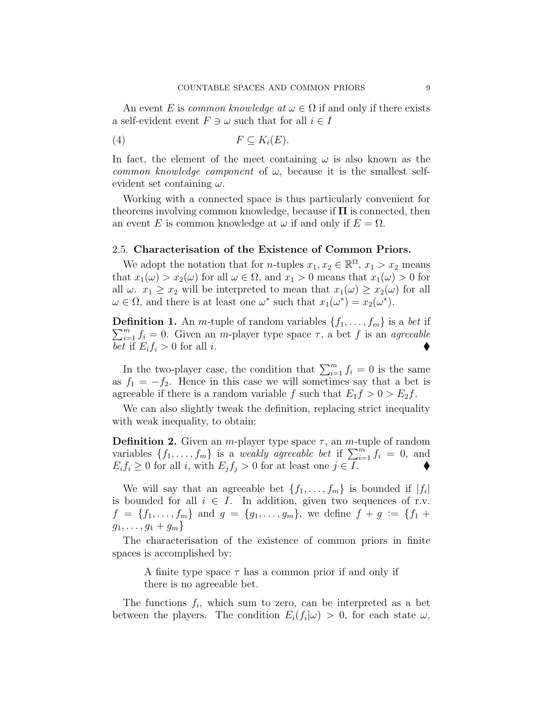An event E is common knowledge at  $\omega \in \Omega$  if and only if there exists a self-evident event  $F \ni \omega$  such that for all  $i \in I$ 

$$
(4) \t\t\t F \subseteq K_i(E).
$$

In fact, the element of the meet containing  $\omega$  is also known as the common knowledge component of  $\omega$ , because it is the smallest selfevident set containing  $\omega$ .

Working with a connected space is thus particularly convenient for theorems involving common knowledge, because if  $\Pi$  is connected, then an event E is common knowledge at  $\omega$  if and only if  $E = \Omega$ .

#### 2.5. Characterisation of the Existence of Common Priors.

We adopt the notation that for *n*-tuples  $x_1, x_2 \in \mathbb{R}^{\Omega}$ ,  $x_1 > x_2$  means that  $x_1(\omega) > x_2(\omega)$  for all  $\omega \in \Omega$ , and  $x_1 > 0$  means that  $x_1(\omega) > 0$  for all  $\omega$ .  $x_1 \geq x_2$  will be interpreted to mean that  $x_1(\omega) \geq x_2(\omega)$  for all  $\omega \in \Omega$ , and there is at least one  $\omega^*$  such that  $x_1(\omega^*) = x_2(\omega^*)$ .

**Definition 1.** An *m*-tuple of random variables  $\{f_1, \ldots, f_m\}$  is a bet if  $\sum_{i=1}^{m} f_i = 0$ . Given an *m*-player type space  $\tau$ , a bet f is an *agreeable* bet if  $E_i f_i > 0$  for all *i*.

In the two-player case, the condition that  $\sum_{i=1}^{m} f_i = 0$  is the same as  $f_1 = -f_2$ . Hence in this case we will sometimes say that a bet is agreeable if there is a random variable f such that  $E_1 f > 0 > E_2 f$ .

We can also slightly tweak the definition, replacing strict inequality with weak inequality, to obtain:

**Definition 2.** Given an *m*-player type space  $\tau$ , an *m*-tuple of random variables  $\{f_1, \ldots, f_m\}$  is a weakly agreeable bet if  $\sum_{i=1}^m f_i = 0$ , and  $E_i f_i \geq 0$  for all i, with  $E_j f_j > 0$  for at least one  $j \in I$ .

We will say that an agreeable bet  $\{f_1, \ldots, f_m\}$  is bounded if  $|f_i|$ is bounded for all  $i \in I$ . In addition, given two sequences of r.v.  $f = \{f_1, \ldots, f_m\}$  and  $g = \{g_1, \ldots, g_m\}$ , we define  $f + g := \{f_1 + g_2\}$  $g_1, \ldots, g_1 + g_m$ 

The characterisation of the existence of common priors in finite spaces is accomplished by:

A finite type space  $\tau$  has a common prior if and only if there is no agreeable bet.

The functions  $f_i$ , which sum to zero, can be interpreted as a bet between the players. The condition  $E_i(f_i|\omega) > 0$ , for each state  $\omega$ ,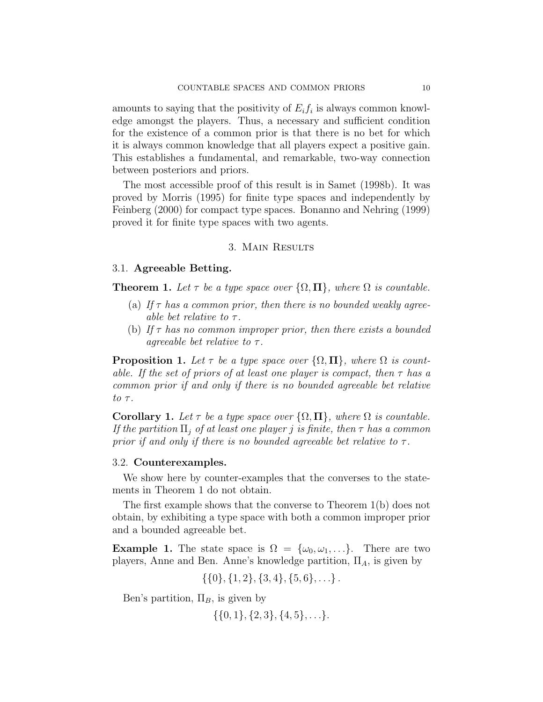amounts to saying that the positivity of  $E_i f_i$  is always common knowledge amongst the players. Thus, a necessary and sufficient condition for the existence of a common prior is that there is no bet for which it is always common knowledge that all players expect a positive gain. This establishes a fundamental, and remarkable, two-way connection between posteriors and priors.

The most accessible proof of this result is in Samet (1998b). It was proved by Morris (1995) for finite type spaces and independently by Feinberg (2000) for compact type spaces. Bonanno and Nehring (1999) proved it for finite type spaces with two agents.

#### 3. Main Results

#### 3.1. Agreeable Betting.

**Theorem 1.** Let  $\tau$  be a type space over  $\{\Omega, \Pi\}$ , where  $\Omega$  is countable.

- (a) If  $\tau$  has a common prior, then there is no bounded weakly agreeable bet relative to  $\tau$ .
- (b) If  $\tau$  has no common improper prior, then there exists a bounded agreeable bet relative to  $\tau$ .

**Proposition 1.** Let  $\tau$  be a type space over  $\{\Omega, \Pi\}$ , where  $\Omega$  is countable. If the set of priors of at least one player is compact, then  $\tau$  has a common prior if and only if there is no bounded agreeable bet relative to  $\tau$ .

**Corollary 1.** Let  $\tau$  be a type space over  $\{\Omega, \Pi\}$ , where  $\Omega$  is countable. If the partition  $\Pi_i$  of at least one player j is finite, then  $\tau$  has a common prior if and only if there is no bounded agreeable bet relative to  $\tau$ .

#### 3.2. Counterexamples.

We show here by counter-examples that the converses to the statements in Theorem 1 do not obtain.

The first example shows that the converse to Theorem 1(b) does not obtain, by exhibiting a type space with both a common improper prior and a bounded agreeable bet.

**Example 1.** The state space is  $\Omega = {\omega_0, \omega_1, \ldots}$ . There are two players, Anne and Ben. Anne's knowledge partition,  $\Pi_A$ , is given by

 $\{\{0\}, \{1, 2\}, \{3, 4\}, \{5, 6\}, \ldots\}.$ 

Ben's partition,  $\Pi_B$ , is given by

 $\{\{0, 1\}, \{2, 3\}, \{4, 5\}, \ldots\}.$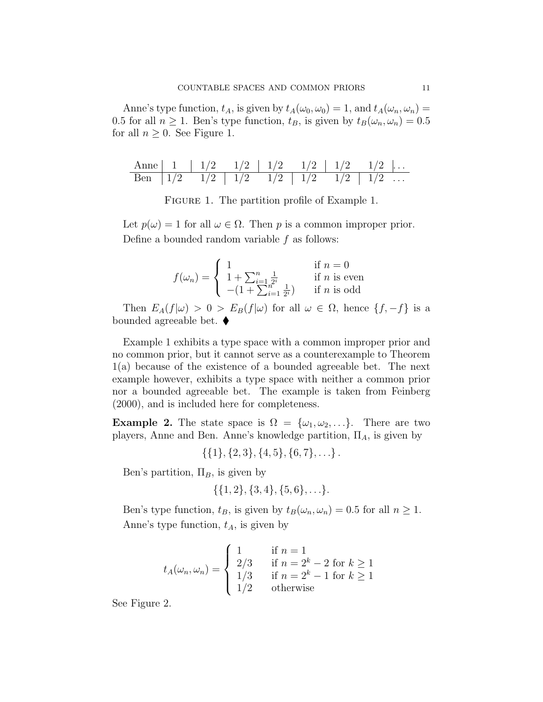Anne's type function,  $t_A$ , is given by  $t_A(\omega_0, \omega_0) = 1$ , and  $t_A(\omega_n, \omega_n) =$ 0.5 for all  $n \ge 1$ . Ben's type function,  $t_B$ , is given by  $t_B(\omega_n, \omega_n) = 0.5$ for all  $n \geq 0$ . See Figure 1.

|  |  |  | Anne   1   $1/2$ $1/2$   $1/2$ $1/2$   $1/2$   $1/2$ $1/2$   $1/2$ |  |
|--|--|--|--------------------------------------------------------------------|--|
|  |  |  |                                                                    |  |

Figure 1. The partition profile of Example 1.

Let  $p(\omega) = 1$  for all  $\omega \in \Omega$ . Then p is a common improper prior. Define a bounded random variable f as follows:

$$
f(\omega_n) = \begin{cases} 1 & \text{if } n = 0\\ 1 + \sum_{i=1}^n \frac{1}{2^i} & \text{if } n \text{ is even} \\ -(1 + \sum_{i=1}^n \frac{1}{2^i}) & \text{if } n \text{ is odd} \end{cases}
$$

Then  $E_A(f|\omega) > 0 > E_B(f|\omega)$  for all  $\omega \in \Omega$ , hence  $\{f, -f\}$  is a bounded agreeable bet.  $\blacklozenge$ 

Example 1 exhibits a type space with a common improper prior and no common prior, but it cannot serve as a counterexample to Theorem 1(a) because of the existence of a bounded agreeable bet. The next example however, exhibits a type space with neither a common prior nor a bounded agreeable bet. The example is taken from Feinberg (2000), and is included here for completeness.

**Example 2.** The state space is  $\Omega = {\omega_1, \omega_2, \ldots}$ . There are two players, Anne and Ben. Anne's knowledge partition,  $\Pi_A$ , is given by

 $\{\{1\}, \{2, 3\}, \{4, 5\}, \{6, 7\}, \ldots\}$ .

Ben's partition,  $\Pi_B$ , is given by

$$
\{\{1,2\},\{3,4\},\{5,6\},\ldots\}.
$$

Ben's type function,  $t_B$ , is given by  $t_B(\omega_n, \omega_n) = 0.5$  for all  $n \geq 1$ . Anne's type function,  $t_A$ , is given by

$$
t_A(\omega_n, \omega_n) = \begin{cases} 1 & \text{if } n = 1\\ 2/3 & \text{if } n = 2^k - 2 \text{ for } k \ge 1\\ 1/3 & \text{if } n = 2^k - 1 \text{ for } k \ge 1\\ 1/2 & \text{otherwise} \end{cases}
$$

See Figure 2.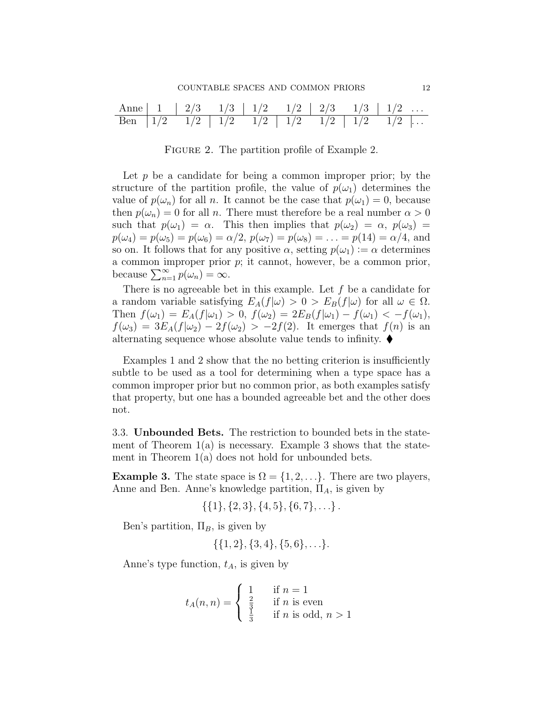Anne 1 2/3 1/3 1/2 1/2 2/3 1/3 1/2 . . . Ben 1/2 1/2 1/2 1/2 1/2 1/2 1/2 1/2 . . .

FIGURE 2. The partition profile of Example 2.

Let  $p$  be a candidate for being a common improper prior; by the structure of the partition profile, the value of  $p(\omega_1)$  determines the value of  $p(\omega_n)$  for all n. It cannot be the case that  $p(\omega_1) = 0$ , because then  $p(\omega_n) = 0$  for all n. There must therefore be a real number  $\alpha > 0$ such that  $p(\omega_1) = \alpha$ . This then implies that  $p(\omega_2) = \alpha$ ,  $p(\omega_3) =$  $p(\omega_4) = p(\omega_5) = p(\omega_6) = \alpha/2, p(\omega_7) = p(\omega_8) = \ldots = p(14) = \alpha/4$ , and so on. It follows that for any positive  $\alpha$ , setting  $p(\omega_1) := \alpha$  determines a common improper prior  $p$ ; it cannot, however, be a common prior, because  $\sum_{n=1}^{\infty} p(\omega_n) = \infty$ .

There is no agreeable bet in this example. Let  $f$  be a candidate for a random variable satisfying  $E_A(f|\omega) > 0 > E_B(f|\omega)$  for all  $\omega \in \Omega$ . Then  $f(\omega_1) = E_A(f|\omega_1) > 0$ ,  $f(\omega_2) = 2E_B(f|\omega_1) - f(\omega_1) < -f(\omega_1)$ ,  $f(\omega_3) = 3E_A(f|\omega_2) - 2f(\omega_2) > -2f(2)$ . It emerges that  $f(n)$  is an alternating sequence whose absolute value tends to infinity.  $\blacklozenge$ 

Examples 1 and 2 show that the no betting criterion is insufficiently subtle to be used as a tool for determining when a type space has a common improper prior but no common prior, as both examples satisfy that property, but one has a bounded agreeable bet and the other does not.

3.3. Unbounded Bets. The restriction to bounded bets in the statement of Theorem  $1(a)$  is necessary. Example 3 shows that the statement in Theorem  $1(a)$  does not hold for unbounded bets.

**Example 3.** The state space is  $\Omega = \{1, 2, ...\}$ . There are two players, Anne and Ben. Anne's knowledge partition,  $\Pi_A$ , is given by

$$
\{\{1\},\{2,3\},\{4,5\},\{6,7\},\ldots\}.
$$

Ben's partition,  $\Pi_B$ , is given by

$$
\{\{1,2\},\{3,4\},\{5,6\},\ldots\}.
$$

Anne's type function,  $t_A$ , is given by

$$
t_A(n,n) = \begin{cases} 1 & \text{if } n = 1\\ \frac{2}{3} & \text{if } n \text{ is even} \\ \frac{1}{3} & \text{if } n \text{ is odd, } n > 1 \end{cases}
$$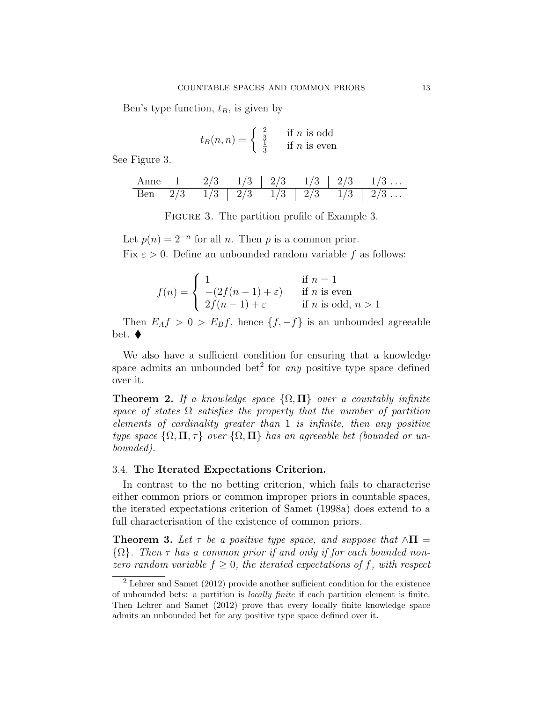Ben's type function,  $t_B$ , is given by

$$
t_B(n,n) = \begin{cases} \frac{2}{3} & \text{if } n \text{ is odd} \\ \frac{1}{3} & \text{if } n \text{ is even} \end{cases}
$$

See Figure 3.

Anne 1 2/3 1/3 2/3 1/3 2/3 1/3 . . . Ben 2/3 1/3 2/3 1/3 2/3 1/3 2/3 . . .

FIGURE 3. The partition profile of Example 3.

Let  $p(n) = 2^{-n}$  for all n. Then p is a common prior. Fix  $\varepsilon > 0$ . Define an unbounded random variable f as follows:

$$
f(n) = \begin{cases} 1 & \text{if } n = 1 \\ -(2f(n-1) + \varepsilon) & \text{if } n \text{ is even} \\ 2f(n-1) + \varepsilon & \text{if } n \text{ is odd, } n > 1 \end{cases}
$$

Then  $E_A f > 0 > E_B f$ , hence  $\{f, -f\}$  is an unbounded agreeable bet.  $\blacklozenge$ 

We also have a sufficient condition for ensuring that a knowledge space admits an unbounded bet<sup>2</sup> for *any* positive type space defined over it.

**Theorem 2.** If a knowledge space  $\{\Omega, \Pi\}$  over a countably infinite space of states  $\Omega$  satisfies the property that the number of partition elements of cardinality greater than 1 is infinite, then any positive type space  $\{\Omega, \Pi, \tau\}$  over  $\{\Omega, \Pi\}$  has an agreeable bet (bounded or unbounded).

#### 3.4. The Iterated Expectations Criterion.

In contrast to the no betting criterion, which fails to characterise either common priors or common improper priors in countable spaces, the iterated expectations criterion of Samet (1998a) does extend to a full characterisation of the existence of common priors.

**Theorem 3.** Let  $\tau$  be a positive type space, and suppose that  $\wedge \Pi$  =  $\{\Omega\}$ . Then  $\tau$  has a common prior if and only if for each bounded nonzero random variable  $f \geq 0$ , the iterated expectations of f, with respect

<sup>2</sup> Lehrer and Samet (2012) provide another sufficient condition for the existence of unbounded bets: a partition is locally finite if each partition element is finite. Then Lehrer and Samet (2012) prove that every locally finite knowledge space admits an unbounded bet for any positive type space defined over it.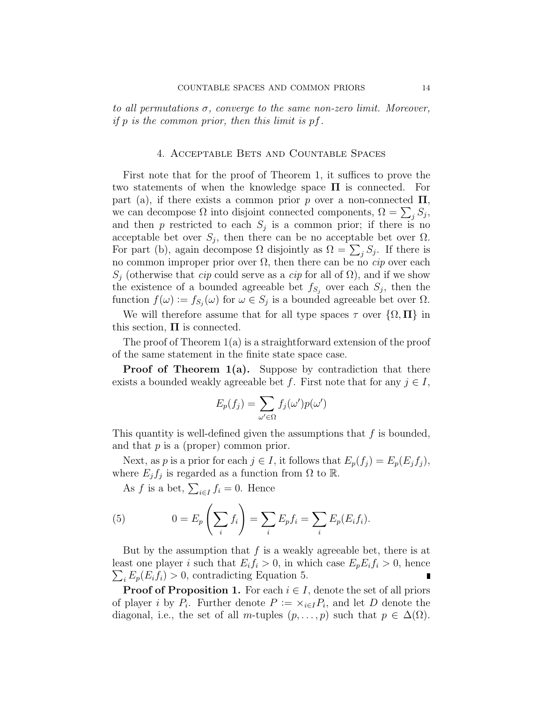to all permutations  $\sigma$ , converge to the same non-zero limit. Moreover, if  $p$  is the common prior, then this limit is  $pf$ .

#### 4. Acceptable Bets and Countable Spaces

First note that for the proof of Theorem 1, it suffices to prove the two statements of when the knowledge space  $\Pi$  is connected. For part (a), if there exists a common prior p over a non-connected  $\Pi$ , we can decompose  $\Omega$  into disjoint connected components,  $\Omega = \sum_j S_j$ , and then  $p$  restricted to each  $S_j$  is a common prior; if there is no acceptable bet over  $S_j$ , then there can be no acceptable bet over  $\Omega$ . For part (b), again decompose  $\Omega$  disjointly as  $\Omega = \sum_j S_j$ . If there is no common improper prior over  $\Omega$ , then there can be no *cip* over each  $S_j$  (otherwise that *cip* could serve as a *cip* for all of  $\Omega$ ), and if we show the existence of a bounded agreeable bet  $f_{S_j}$  over each  $S_j$ , then the function  $f(\omega) := f_{S_j}(\omega)$  for  $\omega \in S_j$  is a bounded agreeable bet over  $\Omega$ .

We will therefore assume that for all type spaces  $\tau$  over  $\{\Omega,\Pi\}$  in this section,  $\Pi$  is connected.

The proof of Theorem 1(a) is a straightforward extension of the proof of the same statement in the finite state space case.

**Proof of Theorem 1(a).** Suppose by contradiction that there exists a bounded weakly agreeable bet f. First note that for any  $j \in I$ ,

$$
E_p(f_j) = \sum_{\omega' \in \Omega} f_j(\omega')p(\omega')
$$

This quantity is well-defined given the assumptions that  $f$  is bounded, and that  $p$  is a (proper) common prior.

Next, as p is a prior for each  $j \in I$ , it follows that  $E_p(f_j) = E_p(E_j f_j)$ , where  $E_j f_j$  is regarded as a function from  $\Omega$  to  $\mathbb R$ .

As f is a bet,  $\sum_{i \in I} f_i = 0$ . Hence

(5) 
$$
0 = E_p\left(\sum_i f_i\right) = \sum_i E_p f_i = \sum_i E_p(E_i f_i).
$$

But by the assumption that  $f$  is a weakly agreeable bet, there is at least one player *i* such that  $E_i f_i > 0$ , in which case  $E_p E_i f_i > 0$ , hence  $\sum_i E_p(E_i f_i) > 0$ , contradicting Equation 5.

**Proof of Proposition 1.** For each  $i \in I$ , denote the set of all priors of player *i* by  $P_i$ . Further denote  $P := \times_{i \in I} P_i$ , and let D denote the diagonal, i.e., the set of all m-tuples  $(p, \ldots, p)$  such that  $p \in \Delta(\Omega)$ .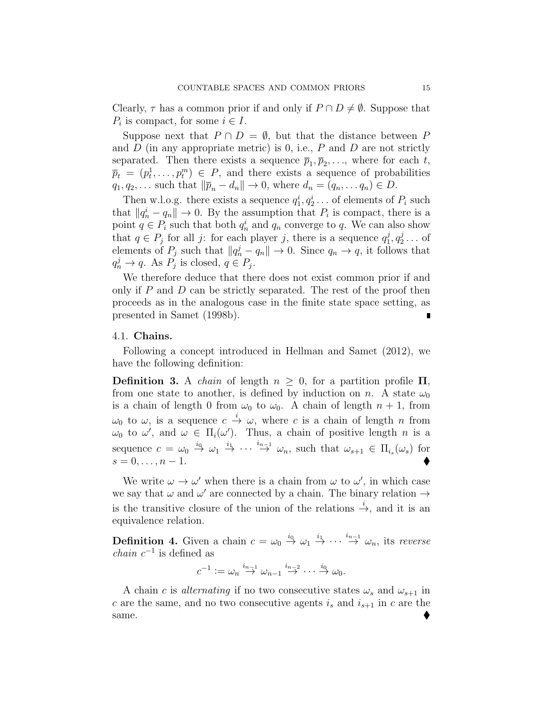Clearly,  $\tau$  has a common prior if and only if  $P \cap D \neq \emptyset$ . Suppose that  $P_i$  is compact, for some  $i \in I$ .

Suppose next that  $P \cap D = \emptyset$ , but that the distance between P and  $D$  (in any appropriate metric) is 0, i.e.,  $P$  and  $D$  are not strictly separated. Then there exists a sequence  $\bar{p}_1, \bar{p}_2, \ldots$ , where for each t,  $\overline{p}_t = (p_t^1, \ldots, p_t^m) \in P$ , and there exists a sequence of probabilities  $q_1, q_2, \ldots$  such that  $\|\overline{p}_n - d_n\| \to 0$ , where  $d_n = (q_n, \ldots, q_n) \in D$ .

Then w.l.o.g. there exists a sequence  $q_1^i, q_2^i \dots$  of elements of  $P_i$  such that  $||q_n^i - q_n|| \to 0$ . By the assumption that  $P_i$  is compact, there is a point  $q \in P_i$  such that both  $q_n^i$  and  $q_n$  converge to q. We can also show that  $q \in P_j$  for all j: for each player j, there is a sequence  $q_1^j$  $^{j}_{1}, q^{j}_{2}$  $\frac{3}{2} \ldots$  of elements of  $P_j$  such that  $||q_n^j - q_n|| \to 0$ . Since  $q_n \to q$ , it follows that  $q_n^j \to q$ . As  $P_j$  is closed,  $q \in P_j$ .

We therefore deduce that there does not exist common prior if and only if  $P$  and  $D$  can be strictly separated. The rest of the proof then proceeds as in the analogous case in the finite state space setting, as presented in Samet (1998b).

#### 4.1. Chains.

Following a concept introduced in Hellman and Samet (2012), we have the following definition:

Definition 3. A *chain* of length  $n \geq 0$ , for a partition profile  $\Pi$ , from one state to another, is defined by induction on n. A state  $\omega_0$ is a chain of length 0 from  $\omega_0$  to  $\omega_0$ . A chain of length  $n + 1$ , from  $\omega_0$  to  $\omega$ , is a sequence  $c \stackrel{i}{\rightarrow} \omega$ , where c is a chain of length n from  $\omega_0$  to  $\omega'$ , and  $\omega \in \Pi_i(\omega')$ . Thus, a chain of positive length n is a sequence  $c = \omega_0 \stackrel{i_0}{\rightarrow} \omega_1 \stackrel{i_1}{\rightarrow} \cdots \stackrel{i_{n-1}}{\rightarrow} \omega_n$ , such that  $\omega_{s+1} \in \Pi_{i_s}(\omega_s)$  for  $s = 0, \ldots, n - 1.$ 

We write  $\omega \to \omega'$  when there is a chain from  $\omega$  to  $\omega'$ , in which case we say that  $\omega$  and  $\omega'$  are connected by a chain. The binary relation  $\rightarrow$ is the transitive closure of the union of the relations  $\stackrel{i}{\rightarrow}$ , and it is an equivalence relation.

**Definition 4.** Given a chain  $c = \omega_0 \stackrel{i_0}{\rightarrow} \omega_1 \stackrel{i_1}{\rightarrow} \cdots \stackrel{i_{n-1}}{\rightarrow} \omega_n$ , its reverse *chain*  $c^{-1}$  is defined as

$$
c^{-1} := \omega_n \stackrel{i_{n-1}}{\rightarrow} \omega_{n-1} \stackrel{i_{n-2}}{\rightarrow} \cdots \stackrel{i_0}{\rightarrow} \omega_0.
$$

A chain c is *alternating* if no two consecutive states  $\omega_s$  and  $\omega_{s+1}$  in c are the same, and no two consecutive agents  $i_s$  and  $i_{s+1}$  in c are the same.  $\bullet$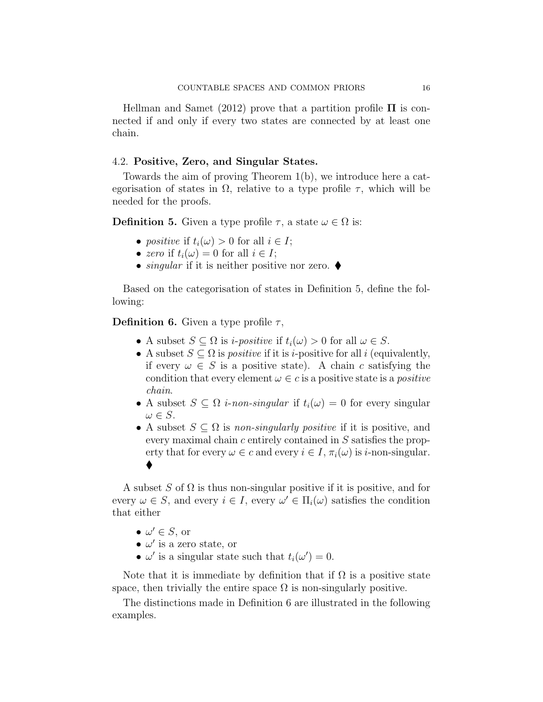Hellman and Samet (2012) prove that a partition profile  $\Pi$  is connected if and only if every two states are connected by at least one chain.

#### 4.2. Positive, Zero, and Singular States.

Towards the aim of proving Theorem 1(b), we introduce here a categorisation of states in  $\Omega$ , relative to a type profile  $\tau$ , which will be needed for the proofs.

**Definition 5.** Given a type profile  $\tau$ , a state  $\omega \in \Omega$  is:

- positive if  $t_i(\omega) > 0$  for all  $i \in I$ ;
- zero if  $t_i(\omega) = 0$  for all  $i \in I$ ;
- *singular* if it is neither positive nor zero.  $\blacklozenge$

Based on the categorisation of states in Definition 5, define the following:

**Definition 6.** Given a type profile  $\tau$ ,

- A subset  $S \subseteq \Omega$  is *i-positive* if  $t_i(\omega) > 0$  for all  $\omega \in S$ .
- A subset  $S \subseteq \Omega$  is *positive* if it is *i*-positive for all *i* (equivalently, if every  $\omega \in S$  is a positive state). A chain c satisfying the condition that every element  $\omega \in c$  is a positive state is a *positive* chain.
- A subset  $S \subseteq \Omega$  *i-non-singular* if  $t_i(\omega) = 0$  for every singular  $\omega \in S$ .
- A subset  $S \subseteq \Omega$  is non-singularly positive if it is positive, and every maximal chain c entirely contained in S satisfies the property that for every  $\omega \in c$  and every  $i \in I$ ,  $\pi_i(\omega)$  is *i*-non-singular.  $\blacklozenge$

A subset S of  $\Omega$  is thus non-singular positive if it is positive, and for every  $\omega \in S$ , and every  $i \in I$ , every  $\omega' \in \Pi_i(\omega)$  satisfies the condition that either

- $\bullet \ \omega' \in S$ , or
- $\bullet$   $\omega'$  is a zero state, or
- $\omega'$  is a singular state such that  $t_i(\omega') = 0$ .

Note that it is immediate by definition that if  $\Omega$  is a positive state space, then trivially the entire space  $\Omega$  is non-singularly positive.

The distinctions made in Definition 6 are illustrated in the following examples.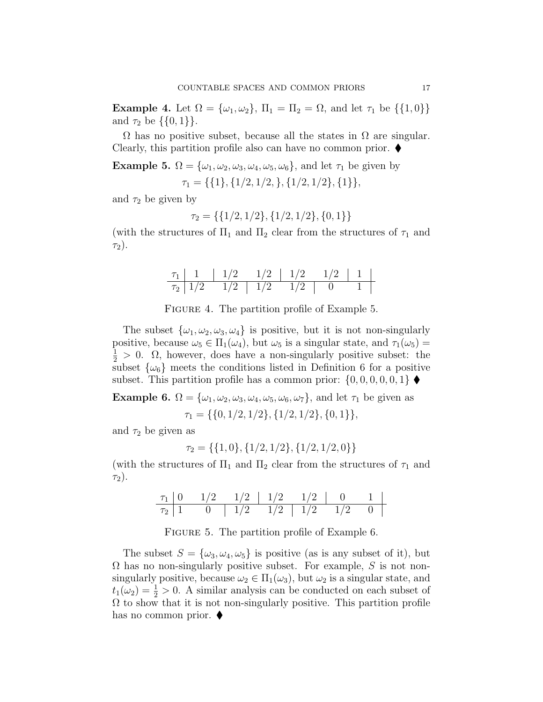Example 4. Let  $\Omega = {\omega_1, \omega_2}, \Pi_1 = \Pi_2 = \Omega$ , and let  $\tau_1$  be  $\{\{1, 0\}\}\$ and  $\tau_2$  be  $\{\{0,1\}\}.$ 

 $\Omega$  has no positive subset, because all the states in  $\Omega$  are singular. Clearly, this partition profile also can have no common prior.  $\blacklozenge$ 

**Example 5.**  $\Omega = {\omega_1, \omega_2, \omega_3, \omega_4, \omega_5, \omega_6}$ , and let  $\tau_1$  be given by  $\tau_1 = \{ \{1\}, \{1/2, 1/2, \}, \{1/2, 1/2\}, \{1\} \},$ 

and  $\tau_2$  be given by

$$
\tau_2 = \{\{1/2, 1/2\}, \{1/2, 1/2\}, \{0, 1\}\}\
$$

(with the structures of  $\Pi_1$  and  $\Pi_2$  clear from the structures of  $\tau_1$  and  $\tau_2$ ).

|                  |     | 1/2 | 1/2 |  |  |
|------------------|-----|-----|-----|--|--|
| $\tau_2$   $1/2$ | 1/2 | 1/2 |     |  |  |

FIGURE 4. The partition profile of Example 5.

The subset  $\{\omega_1, \omega_2, \omega_3, \omega_4\}$  is positive, but it is not non-singularly positive, because  $\omega_5 \in \Pi_1(\omega_4)$ , but  $\omega_5$  is a singular state, and  $\tau_1(\omega_5)$  =  $\frac{1}{2} > 0$ .  $\Omega$ , however, does have a non-singularly positive subset: the subset  $\{\omega_6\}$  meets the conditions listed in Definition 6 for a positive subset. This partition profile has a common prior:  $\{0, 0, 0, 0, 0, 1\}$ 

**Example 6.**  $\Omega = {\omega_1, \omega_2, \omega_3, \omega_4, \omega_5, \omega_6, \omega_7}$ , and let  $\tau_1$  be given as  $\tau_1 = \{ \{0, 1/2, 1/2\}, \{1/2, 1/2\}, \{0, 1\} \},\$ 

and  $\tau_2$  be given as

$$
\tau_2 = \{\{1, 0\}, \{1/2, 1/2\}, \{1/2, 1/2, 0\}\}\
$$

(with the structures of  $\Pi_1$  and  $\Pi_2$  clear from the structures of  $\tau_1$  and  $\tau_2$ ).

τ<sup>1</sup> 0 1/2 1/2 1/2 1/2 0 1 τ<sup>2</sup> 1 0 1/2 1/2 1/2 1/2 0

FIGURE 5. The partition profile of Example 6.

The subset  $S = {\omega_3, \omega_4, \omega_5}$  is positive (as is any subset of it), but  $\Omega$  has no non-singularly positive subset. For example, S is not nonsingularly positive, because  $\omega_2 \in \Pi_1(\omega_3)$ , but  $\omega_2$  is a singular state, and  $t_1(\omega_2) = \frac{1}{2} > 0$ . A similar analysis can be conducted on each subset of  $\Omega$  to show that it is not non-singularly positive. This partition profile has no common prior.  $\blacklozenge$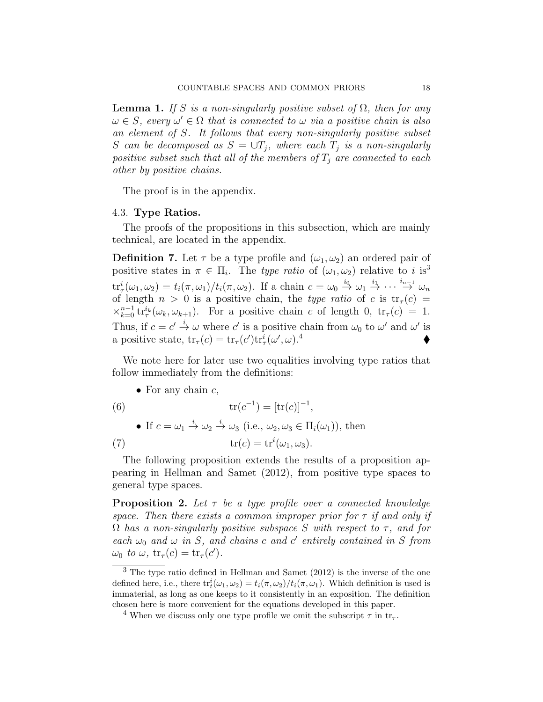**Lemma 1.** If S is a non-singularly positive subset of  $\Omega$ , then for any  $\omega \in S$ , every  $\omega' \in \Omega$  that is connected to  $\omega$  via a positive chain is also an element of S. It follows that every non-singularly positive subset S can be decomposed as  $S = \cup T_i$ , where each  $T_i$  is a non-singularly positive subset such that all of the members of  $T_i$  are connected to each other by positive chains.

The proof is in the appendix.

#### 4.3. Type Ratios.

The proofs of the propositions in this subsection, which are mainly technical, are located in the appendix.

**Definition 7.** Let  $\tau$  be a type profile and  $(\omega_1, \omega_2)$  an ordered pair of positive states in  $\pi \in \Pi_i$ . The type ratio of  $(\omega_1, \omega_2)$  relative to i is<sup>3</sup>  $\mathrm{tr}^i_\tau(\omega_1, \omega_2) = t_i(\pi, \omega_1)/t_i(\pi, \omega_2)$ . If a chain  $c = \omega_0 \overset{i_0}{\to} \omega_1 \overset{i_1}{\to} \cdots \overset{i_{n-1}}{\to} \omega_n$ of length  $n > 0$  is a positive chain, the *type ratio* of c is  $tr_{\tau}(c)$  =  $\times_{k=0}^{n-1}$  tr<sup>i</sup><sub>*r*</sub>( $\omega_k, \omega_{k+1}$ ). For a positive chain c of length 0, tr<sub>*r*</sub>(c) = 1. Thus, if  $c = c' \stackrel{i}{\rightarrow} \omega$  where c' is a positive chain from  $\omega_0$  to  $\omega'$  and  $\omega'$  is a positive state,  $\text{tr}_{\tau}(c) = \text{tr}_{\tau}(c') \text{tr}_{\tau}^i(\omega', \omega)$ .<sup>4</sup>

We note here for later use two equalities involving type ratios that follow immediately from the definitions:

• For any chain  $c$ ,

(6)  
\n
$$
\operatorname{tr}(c^{-1}) = [\operatorname{tr}(c)]^{-1},
$$
\n• If  $c = \omega_1 \stackrel{i}{\rightarrow} \omega_2 \stackrel{i}{\rightarrow} \omega_3$  (i.e.,  $\omega_2, \omega_3 \in \Pi_i(\omega_1)$ ), then  
\n
$$
\operatorname{tr}(c) = \operatorname{tr}^i(\omega_1, \omega_3).
$$

The following proposition extends the results of a proposition appearing in Hellman and Samet (2012), from positive type spaces to general type spaces.

**Proposition 2.** Let  $\tau$  be a type profile over a connected knowledge space. Then there exists a common improper prior for  $\tau$  if and only if  $\Omega$  has a non-singularly positive subspace S with respect to  $\tau$ , and for each  $\omega_0$  and  $\omega$  in S, and chains c and c' entirely contained in S from  $\omega_0$  to  $\omega$ ,  $\operatorname{tr}_{\tau}(c) = \operatorname{tr}_{\tau}(c')$ .

<sup>3</sup> The type ratio defined in Hellman and Samet (2012) is the inverse of the one defined here, i.e., there  $\text{tr}_t^i(\omega_1, \omega_2) = t_i(\pi, \omega_2)/t_i(\pi, \omega_1)$ . Which definition is used is immaterial, as long as one keeps to it consistently in an exposition. The definition chosen here is more convenient for the equations developed in this paper.

<sup>&</sup>lt;sup>4</sup> When we discuss only one type profile we omit the subscript  $\tau$  in tr<sub> $\tau$ </sub>.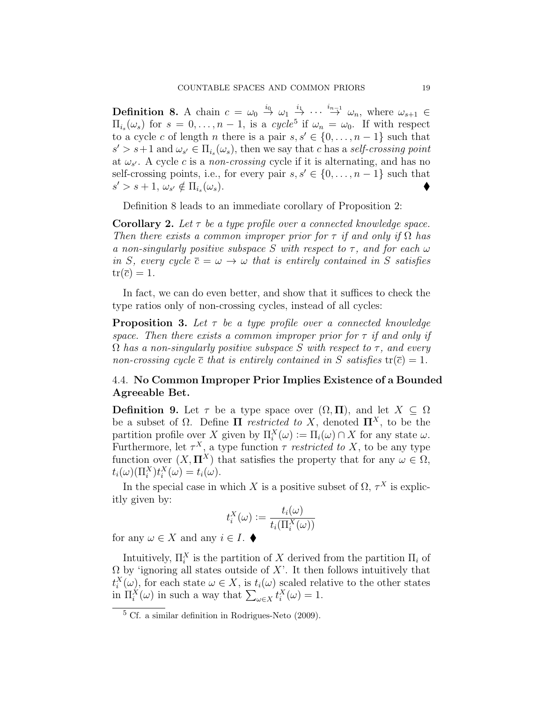**Definition 8.** A chain  $c = \omega_0 \stackrel{i_0}{\rightarrow} \omega_1 \stackrel{i_1}{\rightarrow} \cdots \stackrel{i_{n-1}}{\rightarrow} \omega_n$ , where  $\omega_{s+1} \in$  $\Pi_{i_s}(\omega_s)$  for  $s = 0, \ldots, n-1$ , is a cycle<sup>5</sup> if  $\omega_n = \omega_0$ . If with respect to a cycle c of length n there is a pair  $s, s' \in \{0, \ldots, n-1\}$  such that  $s' > s+1$  and  $\omega_{s'} \in \Pi_{i_s}(\omega_s)$ , then we say that c has a self-crossing point at  $\omega_{s'}$ . A cycle c is a non-crossing cycle if it is alternating, and has no self-crossing points, i.e., for every pair  $s, s' \in \{0, \ldots, n-1\}$  such that  $s' > s+1, \, \omega_{s'} \notin \Pi_{i_s}$  $(\omega_s)$ .

Definition 8 leads to an immediate corollary of Proposition 2:

**Corollary 2.** Let  $\tau$  be a type profile over a connected knowledge space. Then there exists a common improper prior for  $\tau$  if and only if  $\Omega$  has a non-singularly positive subspace S with respect to  $\tau$ , and for each  $\omega$ in S, every cycle  $\overline{c} = \omega \rightarrow \omega$  that is entirely contained in S satisfies  $tr(\overline{c}) = 1.$ 

In fact, we can do even better, and show that it suffices to check the type ratios only of non-crossing cycles, instead of all cycles:

**Proposition 3.** Let  $\tau$  be a type profile over a connected knowledge space. Then there exists a common improper prior for  $\tau$  if and only if  $\Omega$  has a non-singularly positive subspace S with respect to  $\tau$ , and every non-crossing cycle  $\bar{c}$  that is entirely contained in S satisfies  $tr(\bar{c}) = 1$ .

#### 4.4. No Common Improper Prior Implies Existence of a Bounded Agreeable Bet.

**Definition 9.** Let  $\tau$  be a type space over  $(\Omega, \Pi)$ , and let  $X \subseteq \Omega$ be a subset of  $\Omega$ . Define  $\Pi$  *restricted to X*, denoted  $\Pi^X$ , to be the partition profile over X given by  $\Pi_i^X(\omega) := \Pi_i(\omega) \cap X$  for any state  $\omega$ . Furthermore, let  $\tau^X$ , a type function  $\tau$  restricted to X, to be any type function over  $(X,\Pi^X)$  that satisfies the property that for any  $\omega \in \Omega$ ,  $t_i(\omega)(\Pi_i^X)t_i^X(\omega) = t_i(\omega).$ 

In the special case in which X is a positive subset of  $\Omega$ ,  $\tau^X$  is explicitly given by:

$$
t_i^X(\omega) := \frac{t_i(\omega)}{t_i(\Pi_i^X(\omega))}
$$

for any  $\omega \in X$  and any  $i \in I$ .

Intuitively,  $\Pi_i^X$  is the partition of X derived from the partition  $\Pi_i$  of  $\Omega$  by 'ignoring all states outside of X'. It then follows intuitively that  $t_i^X(\omega)$ , for each state  $\omega \in X$ , is  $t_i(\omega)$  scaled relative to the other states in  $\Pi_i^X(\omega)$  in such a way that  $\sum_{\omega \in X} t_i^X(\omega) = 1$ .

 $5 \text{ Cf. a similar definition in Rodrigues-Neto (2009).}$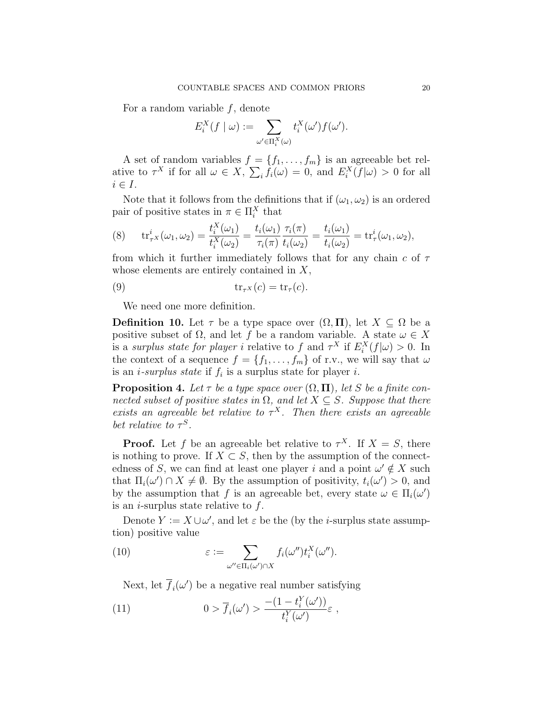For a random variable  $f$ , denote

$$
E_i^X(f \mid \omega) := \sum_{\omega' \in \Pi_i^X(\omega)} t_i^X(\omega') f(\omega').
$$

A set of random variables  $f = \{f_1, \ldots, f_m\}$  is an agreeable bet relative to  $\tau^X$  if for all  $\omega \in X$ ,  $\sum_i f_i(\omega) = 0$ , and  $E_i^X(f|\omega) > 0$  for all  $i \in I$ .

Note that it follows from the definitions that if  $(\omega_1, \omega_2)$  is an ordered pair of positive states in  $\pi \in \Pi_i^X$  that

(8) 
$$
\operatorname{tr}_{\tau}^{i}(\omega_{1}, \omega_{2}) = \frac{t_{i}^{X}(\omega_{1})}{t_{i}^{X}(\omega_{2})} = \frac{t_{i}(\omega_{1})}{\tau_{i}(\pi)} \frac{\tau_{i}(\pi)}{t_{i}(\omega_{2})} = \frac{t_{i}(\omega_{1})}{t_{i}(\omega_{2})} = \operatorname{tr}_{\tau}^{i}(\omega_{1}, \omega_{2}),
$$

from which it further immediately follows that for any chain  $c$  of  $\tau$ whose elements are entirely contained in  $X$ ,

(9) 
$$
\operatorname{tr}_{\tau^X}(c) = \operatorname{tr}_{\tau}(c).
$$

We need one more definition.

**Definition 10.** Let  $\tau$  be a type space over  $(\Omega, \Pi)$ , let  $X \subseteq \Omega$  be a positive subset of  $\Omega$ , and let f be a random variable. A state  $\omega \in X$ is a surplus state for player i relative to f and  $\tau^X$  if  $E_i^X(f|\omega) > 0$ . In the context of a sequence  $f = \{f_1, \ldots, f_m\}$  of r.v., we will say that  $\omega$ is an *i*-surplus state if  $f_i$  is a surplus state for player *i*.

**Proposition 4.** Let  $\tau$  be a type space over  $(\Omega, \Pi)$ , let S be a finite connected subset of positive states in  $\Omega$ , and let  $X \subseteq S$ . Suppose that there exists an agreeable bet relative to  $\tau^X$ . Then there exists an agreeable bet relative to  $\tau^S$ .

**Proof.** Let f be an agreeable bet relative to  $\tau^X$ . If  $X = S$ , there is nothing to prove. If  $X \subset S$ , then by the assumption of the connectedness of S, we can find at least one player i and a point  $\omega' \notin X$  such that  $\Pi_i(\omega') \cap X \neq \emptyset$ . By the assumption of positivity,  $t_i(\omega') > 0$ , and by the assumption that f is an agreeable bet, every state  $\omega \in \Pi_i(\omega')$ is an *i*-surplus state relative to  $f$ .

Denote  $Y := X \cup \omega'$ , and let  $\varepsilon$  be the (by the *i*-surplus state assumption) positive value

(10) 
$$
\varepsilon := \sum_{\omega'' \in \Pi_i(\omega') \cap X} f_i(\omega'') t_i^X(\omega'').
$$

Next, let  $\overline{f}_i(\omega')$  be a negative real number satisfying

(11) 
$$
0 > \overline{f}_i(\omega') > \frac{-(1 - t_i^Y(\omega'))}{t_i^Y(\omega')} \varepsilon,
$$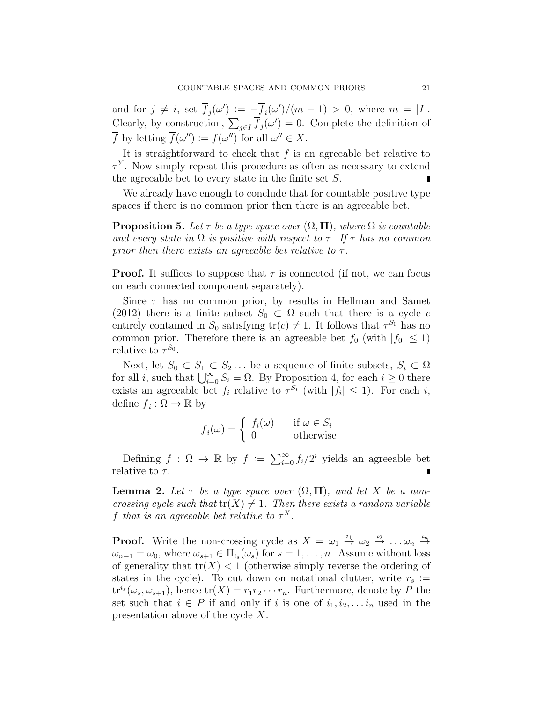and for  $j \neq i$ , set  $\overline{f}_j(\omega') := -\overline{f}_i(\omega')/(m-1) > 0$ , where  $m = |I|.$ Clearly, by construction,  $\sum_{j\in I} \overline{f}_j(\omega') = 0$ . Complete the definition of  $\overline{f}$  by letting  $\overline{f}(\omega'') := f(\omega'')$  for all  $\omega'' \in X$ .

It is straightforward to check that  $\bar{f}$  is an agreeable bet relative to  $\tau^Y$ . Now simply repeat this procedure as often as necessary to extend the agreeable bet to every state in the finite set S.

We already have enough to conclude that for countable positive type spaces if there is no common prior then there is an agreeable bet.

**Proposition 5.** Let  $\tau$  be a type space over  $(\Omega, \Pi)$ , where  $\Omega$  is countable and every state in  $\Omega$  is positive with respect to  $\tau$ . If  $\tau$  has no common prior then there exists an agreeable bet relative to  $\tau$ .

**Proof.** It suffices to suppose that  $\tau$  is connected (if not, we can focus on each connected component separately).

Since  $\tau$  has no common prior, by results in Hellman and Samet (2012) there is a finite subset  $S_0 \subset \Omega$  such that there is a cycle c entirely contained in  $S_0$  satisfying  $tr(c) \neq 1$ . It follows that  $\tau^{S_0}$  has no common prior. Therefore there is an agreeable bet  $f_0$  (with  $|f_0| \leq 1$ ) relative to  $\tau^{S_0}$ .

Next, let  $S_0 \subset S_1 \subset S_2 \ldots$  be a sequence of finite subsets,  $S_i \subset \Omega$ for all *i*, such that  $\bigcup_{i=0}^{\infty} S_i = \Omega$ . By Proposition 4, for each  $i \geq 0$  there exists an agreeable bet  $f_i$  relative to  $\tau^{S_i}$  (with  $|f_i| \leq 1$ ). For each i, define  $\overline{f}_i : \Omega \to \mathbb{R}$  by

$$
\overline{f}_i(\omega) = \begin{cases} f_i(\omega) & \text{if } \omega \in S_i \\ 0 & \text{otherwise} \end{cases}
$$

Defining  $f: \Omega \to \mathbb{R}$  by  $f := \sum_{i=0}^{\infty} f_i/2^i$  yields an agreeable bet relative to  $\tau$ .

**Lemma 2.** Let  $\tau$  be a type space over  $(\Omega, \Pi)$ , and let X be a noncrossing cycle such that  $tr(X) \neq 1$ . Then there exists a random variable f that is an agreeable bet relative to  $\tau^X$ .

**Proof.** Write the non-crossing cycle as  $X = \omega_1 \stackrel{i_1}{\rightarrow} \omega_2 \stackrel{i_2}{\rightarrow} \dots \omega_n \stackrel{i_n}{\rightarrow}$  $\omega_{n+1} = \omega_0$ , where  $\omega_{s+1} \in \Pi_{i_s}(\omega_s)$  for  $s = 1, \ldots, n$ . Assume without loss of generality that  $tr(X) < 1$  (otherwise simply reverse the ordering of states in the cycle). To cut down on notational clutter, write  $r_s :=$  $\mathrm{tr}^{i_s}(\omega_s, \omega_{s+1}),$  hence  $\mathrm{tr}(X) = r_1 r_2 \cdots r_n$ . Furthermore, denote by P the set such that  $i \in P$  if and only if i is one of  $i_1, i_2, \ldots i_n$  used in the presentation above of the cycle X.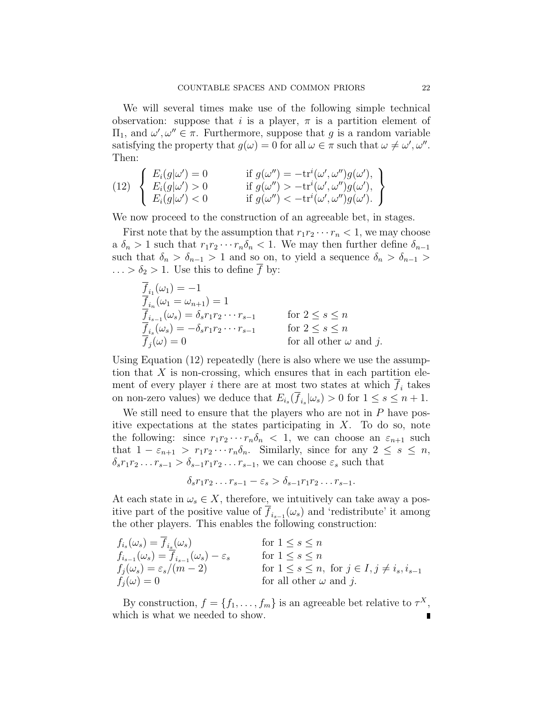We will several times make use of the following simple technical observation: suppose that i is a player,  $\pi$  is a partition element of  $\Pi_1$ , and  $ω', ω'' ∈ π$ . Furthermore, suppose that g is a random variable satisfying the property that  $g(\omega) = 0$  for all  $\omega \in \pi$  such that  $\omega \neq \omega', \omega''$ . Then:

(12) 
$$
\begin{cases} E_i(g|\omega') = 0 & \text{if } g(\omega'') = -\text{tr}^i(\omega', \omega'')g(\omega'), \\ E_i(g|\omega') > 0 & \text{if } g(\omega'') > -\text{tr}^i(\omega', \omega'')g(\omega'), \\ E_i(g|\omega') < 0 & \text{if } g(\omega'') < -\text{tr}^i(\omega', \omega'')g(\omega'). \end{cases}
$$

We now proceed to the construction of an agreeable bet, in stages.

First note that by the assumption that  $r_1r_2\cdots r_n < 1$ , we may choose a  $\delta_n > 1$  such that  $r_1 r_2 \cdots r_n \delta_n < 1$ . We may then further define  $\delta_{n-1}$ such that  $\delta_n > \delta_{n-1} > 1$  and so on, to yield a sequence  $\delta_n > \delta_{n-1} >$  $\ldots > \delta_2 > 1$ . Use this to define f by:

$$
\overline{f}_{i_1}(\omega_1) = -1
$$
\n
$$
\overline{f}_{i_n}(\omega_1 = \omega_{n+1}) = 1
$$
\n
$$
\overline{f}_{i_{s-1}}(\omega_s) = \delta_s r_1 r_2 \cdots r_{s-1}
$$
\nfor  $2 \le s \le n$ \n
$$
\overline{f}_{i_s}(\omega_s) = -\delta_s r_1 r_2 \cdots r_{s-1}
$$
\nfor  $2 \le s \le n$ \nfor all other  $\omega$  and  $j$ .

Using Equation (12) repeatedly (here is also where we use the assumption that  $X$  is non-crossing, which ensures that in each partition element of every player *i* there are at most two states at which  $f_i$  takes on non-zero values) we deduce that  $E_{i_s}(f_{i_s}|\omega_s) > 0$  for  $1 \leq s \leq n+1$ .

We still need to ensure that the players who are not in  $P$  have positive expectations at the states participating in  $X$ . To do so, note the following: since  $r_1r_2\cdots r_n\delta_n < 1$ , we can choose an  $\varepsilon_{n+1}$  such that  $1 - \varepsilon_{n+1} > r_1 r_2 \cdots r_n \delta_n$ . Similarly, since for any  $2 \leq s \leq n$ ,  $\delta_s r_1 r_2 \ldots r_{s-1} > \delta_{s-1} r_1 r_2 \ldots r_{s-1}$ , we can choose  $\varepsilon_s$  such that

$$
\delta_s r_1 r_2 \dots r_{s-1} - \varepsilon_s > \delta_{s-1} r_1 r_2 \dots r_{s-1}.
$$

At each state in  $\omega_s \in X$ , therefore, we intuitively can take away a positive part of the positive value of  $f_{i_{s-1}}(\omega_s)$  and 'redistribute' it among the other players. This enables the following construction:

$$
f_{i_s}(\omega_s) = \overline{f}_{i_s}(\omega_s)
$$
 for  $1 \le s \le n$   
\n
$$
f_{i_{s-1}}(\omega_s) = \overline{f}_{i_{s-1}}(\omega_s) - \varepsilon_s
$$
 for  $1 \le s \le n$   
\n
$$
f_j(\omega_s) = \varepsilon_s/(m-2)
$$
 for  $1 \le s \le n$ , for  $j \in I, j \ne i_s, i_{s-1}$   
\nfor all other  $\omega$  and  $j$ .

By construction,  $f = \{f_1, \ldots, f_m\}$  is an agreeable bet relative to  $\tau^X$ , which is what we needed to show.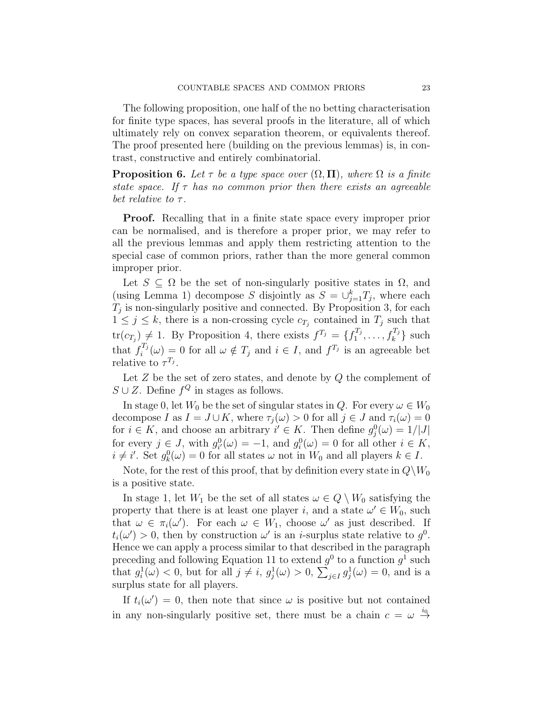The following proposition, one half of the no betting characterisation for finite type spaces, has several proofs in the literature, all of which ultimately rely on convex separation theorem, or equivalents thereof. The proof presented here (building on the previous lemmas) is, in contrast, constructive and entirely combinatorial.

**Proposition 6.** Let  $\tau$  be a type space over  $(\Omega, \Pi)$ , where  $\Omega$  is a finite state space. If  $\tau$  has no common prior then there exists an agreeable bet relative to  $\tau$ .

Proof. Recalling that in a finite state space every improper prior can be normalised, and is therefore a proper prior, we may refer to all the previous lemmas and apply them restricting attention to the special case of common priors, rather than the more general common improper prior.

Let  $S \subseteq \Omega$  be the set of non-singularly positive states in  $\Omega$ , and (using Lemma 1) decompose S disjointly as  $S = \bigcup_{j=1}^{k} T_j$ , where each  $T_j$  is non-singularly positive and connected. By Proposition 3, for each  $1 \leq j \leq k$ , there is a non-crossing cycle  $c_{T_j}$  contained in  $T_j$  such that  $tr(c_{T_j}) \neq 1$ . By Proposition 4, there exists  $f^{T_j} = \{f_1^{T_j}\}$  $f_1^{T_j}, \ldots, f_k^{T_j}$  such that  $f_i^{T_j}$  $i^{T_j}(\omega) = 0$  for all  $\omega \notin T_j$  and  $i \in I$ , and  $f^{T_j}$  is an agreeable bet relative to  $\tau^{T_j}$ .

Let  $Z$  be the set of zero states, and denote by  $Q$  the complement of  $S \cup Z$ . Define  $f^Q$  in stages as follows.

In stage 0, let  $W_0$  be the set of singular states in Q. For every  $\omega \in W_0$ decompose I as  $I = J \cup K$ , where  $\tau_j(\omega) > 0$  for all  $j \in J$  and  $\tau_i(\omega) = 0$ for  $i \in K$ , and choose an arbitrary  $i' \in K$ . Then define  $g_j^0(\omega) = 1/|J|$ for every  $j \in J$ , with  $g_{i'}^0(\omega) = -1$ , and  $g_i^0(\omega) = 0$  for all other  $i \in K$ ,  $i \neq i'$ . Set  $g_k^0(\omega) = 0$  for all states  $\omega$  not in  $W_0$  and all players  $k \in I$ .

Note, for the rest of this proof, that by definition every state in  $Q \backslash W_0$ is a positive state.

In stage 1, let  $W_1$  be the set of all states  $\omega \in Q \setminus W_0$  satisfying the property that there is at least one player i, and a state  $\omega' \in W_0$ , such that  $\omega \in \pi_i(\omega')$ . For each  $\omega \in W_1$ , choose  $\omega'$  as just described. If  $t_i(\omega') > 0$ , then by construction  $\omega'$  is an *i*-surplus state relative to  $g^0$ . Hence we can apply a process similar to that described in the paragraph preceding and following Equation 11 to extend  $g^0$  to a function  $g^1$  such that  $g_i^1(\omega) < 0$ , but for all  $j \neq i$ ,  $g_j^1(\omega) > 0$ ,  $\sum_{j \in I} g_j^1(\omega) = 0$ , and is a surplus state for all players.

If  $t_i(\omega') = 0$ , then note that since  $\omega$  is positive but not contained in any non-singularly positive set, there must be a chain  $c = \omega \stackrel{i_0}{\rightarrow}$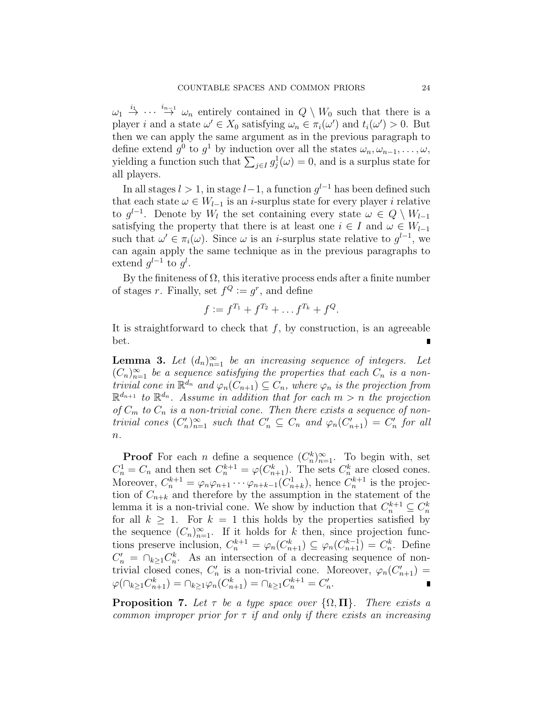$\omega_1 \stackrel{i_1}{\rightarrow} \cdots \stackrel{i_{n-1}}{\rightarrow} \omega_n$  entirely contained in  $Q \setminus W_0$  such that there is a player *i* and a state  $\omega' \in X_0$  satisfying  $\omega_n \in \pi_i(\omega')$  and  $t_i(\omega') > 0$ . But then we can apply the same argument as in the previous paragraph to define extend  $g^0$  to  $g^1$  by induction over all the states  $\omega_n, \omega_{n-1}, \ldots, \omega$ , yielding a function such that  $\sum_{j\in I} g_j^1(\omega) = 0$ , and is a surplus state for all players.

In all stages  $l > 1$ , in stage  $l-1$ , a function  $g^{l-1}$  has been defined such that each state  $\omega \in W_{l-1}$  is an *i*-surplus state for every player *i* relative to  $g^{l-1}$ . Denote by  $W_l$  the set containing every state  $\omega \in Q \setminus W_{l-1}$ satisfying the property that there is at least one  $i \in I$  and  $\omega \in W_{l-1}$ such that  $\omega' \in \pi_i(\omega)$ . Since  $\omega$  is an *i*-surplus state relative to  $g^{l-1}$ , we can again apply the same technique as in the previous paragraphs to extend  $g^{l-1}$  to  $g^l$ .

By the finiteness of  $\Omega$ , this iterative process ends after a finite number of stages r. Finally, set  $f^Q := g^r$ , and define

$$
f := f^{T_1} + f^{T_2} + \dots + f^{T_k} + f^Q.
$$

It is straightforward to check that  $f$ , by construction, is an agreeable bet.

**Lemma 3.** Let  $(d_n)_{n=1}^{\infty}$  be an increasing sequence of integers. Let  $(C_n)_{n=1}^{\infty}$  be a sequence satisfying the properties that each  $C_n$  is a nontrivial cone in  $\mathbb{R}^{d_n}$  and  $\varphi_n(C_{n+1}) \subseteq C_n$ , where  $\varphi_n$  is the projection from  $\mathbb{R}^{d_{n+1}}$  to  $\mathbb{R}^{d_n}$ . Assume in addition that for each  $m > n$  the projection of  $C_m$  to  $C_n$  is a non-trivial cone. Then there exists a sequence of nontrivial cones  $(C'_n)_{n=1}^{\infty}$  such that  $C'_n \subseteq C_n$  and  $\varphi_n(C'_{n+1}) = C'_n$  for all  $n$ .

**Proof** For each *n* define a sequence  $(C_n^k)_{n=1}^{\infty}$ . To begin with, set  $C_n^1 = C_n$  and then set  $C_n^{k+1} = \varphi(C_{n+1}^k)$ . The sets  $C_n^k$  are closed cones. Moreover,  $C_n^{k+1} = \varphi_n \varphi_{n+1} \cdots \varphi_{n+k-1} (C_{n+k}^1)$ , hence  $C_n^{k+1}$  is the projection of  $C_{n+k}$  and therefore by the assumption in the statement of the lemma it is a non-trivial cone. We show by induction that  $C_n^{k+1} \subseteq C_n^k$ for all  $k \geq 1$ . For  $k = 1$  this holds by the properties satisfied by the sequence  $(C_n)_{n=1}^{\infty}$ . If it holds for k then, since projection functions preserve inclusion,  $C_n^{k+1} = \varphi_n(C_{n+1}^k) \subseteq \varphi_n(C_{n+1}^{k-1}) = C_n^k$ . Define  $C'_n = \bigcap_{k \geq 1} C_n^k$ . As an intersection of a decreasing sequence of nontrivial closed cones,  $C'_n$  is a non-trivial cone. Moreover,  $\varphi_n(C'_{n+1}) =$  $\varphi(\cap_{k\geq 1} C_{n+1}^k) = \cap_{k\geq 1} \varphi_n(C_{n+1}^k) = \cap_{k\geq 1} C_n^{k+1} = C_n'.$ 

**Proposition 7.** Let  $\tau$  be a type space over  $\{\Omega, \Pi\}$ . There exists a common improper prior for  $\tau$  if and only if there exists an increasing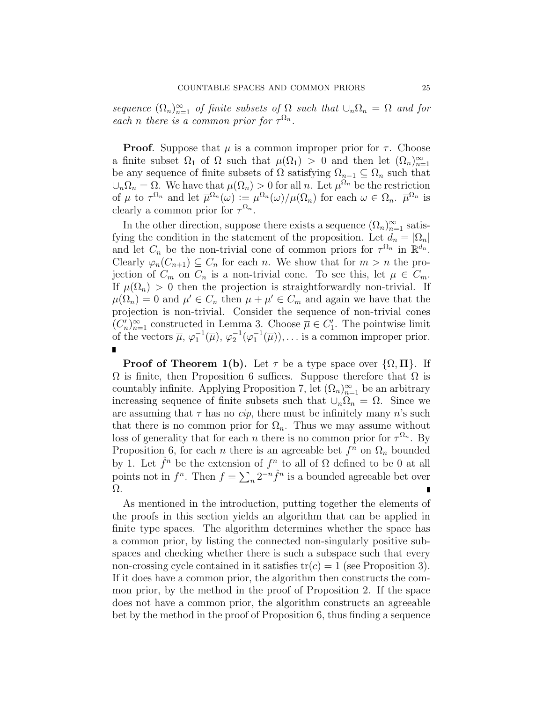sequence  $(\Omega_n)_{n=1}^{\infty}$  of finite subsets of  $\Omega$  such that  $\cup_n \Omega_n = \Omega$  and for each n there is a common prior for  $\tau^{\Omega_n}$ .

**Proof.** Suppose that  $\mu$  is a common improper prior for  $\tau$ . Choose a finite subset  $\Omega_1$  of  $\Omega$  such that  $\mu(\Omega_1) > 0$  and then let  $(\Omega_n)_{n=1}^{\infty}$ be any sequence of finite subsets of  $\Omega$  satisfying  $\Omega_{n-1} \subseteq \Omega_n$  such that  $\cup_n \Omega_n = \Omega$ . We have that  $\mu(\Omega_n) > 0$  for all n. Let  $\mu^{\Omega_n}$  be the restriction of  $\mu$  to  $\tau^{\Omega_n}$  and let  $\overline{\mu}^{\Omega_n}(\omega) := \mu^{\Omega_n}(\omega) / \mu(\Omega_n)$  for each  $\omega \in \Omega_n$ .  $\overline{\mu}^{\Omega_n}$  is clearly a common prior for  $\tau^{\Omega_n}$ .

In the other direction, suppose there exists a sequence  $(\Omega_n)_{n=1}^{\infty}$  satisfying the condition in the statement of the proposition. Let  $d_n = |\Omega_n|$ and let  $C_n$  be the non-trivial cone of common priors for  $\tau^{\Omega_n}$  in  $\mathbb{R}^{d_n}$ . Clearly  $\varphi_n(C_{n+1}) \subseteq C_n$  for each n. We show that for  $m > n$  the projection of  $C_m$  on  $C_n$  is a non-trivial cone. To see this, let  $\mu \in C_m$ . If  $\mu(\Omega_n) > 0$  then the projection is straightforwardly non-trivial. If  $\mu(\Omega_n) = 0$  and  $\mu' \in C_n$  then  $\mu + \mu' \in C_m$  and again we have that the projection is non-trivial. Consider the sequence of non-trivial cones  $(C'_n)_{n=1}^{\infty}$  constructed in Lemma 3. Choose  $\overline{\mu} \in C'_1$ . The pointwise limit of the vectors  $\overline{\mu}$ ,  $\varphi_1^{-1}(\overline{\mu})$ ,  $\varphi_2^{-1}(\varphi_1^{-1}(\overline{\mu}))$ ,... is a common improper prior.

**Proof of Theorem 1(b).** Let  $\tau$  be a type space over  $\{\Omega, \Pi\}$ . If  $\Omega$  is finite, then Proposition 6 suffices. Suppose therefore that  $\Omega$  is countably infinite. Applying Proposition 7, let  $(\Omega_n)_{n=1}^{\infty}$  be an arbitrary increasing sequence of finite subsets such that  $\cup_n \Omega_n = \Omega$ . Since we are assuming that  $\tau$  has no *cip*, there must be infinitely many n's such that there is no common prior for  $\Omega_n$ . Thus we may assume without loss of generality that for each *n* there is no common prior for  $\tau^{\Omega_n}$ . By Proposition 6, for each *n* there is an agreeable bet  $f^n$  on  $\Omega_n$  bounded by 1. Let  $\hat{f}^n$  be the extension of  $f^n$  to all of  $\Omega$  defined to be 0 at all points not in  $f^n$ . Then  $f = \sum_n 2^{-n} \hat{f}^n$  is a bounded agreeable bet over Ω.

As mentioned in the introduction, putting together the elements of the proofs in this section yields an algorithm that can be applied in finite type spaces. The algorithm determines whether the space has a common prior, by listing the connected non-singularly positive subspaces and checking whether there is such a subspace such that every non-crossing cycle contained in it satisfies  $tr(c) = 1$  (see Proposition 3). If it does have a common prior, the algorithm then constructs the common prior, by the method in the proof of Proposition 2. If the space does not have a common prior, the algorithm constructs an agreeable bet by the method in the proof of Proposition 6, thus finding a sequence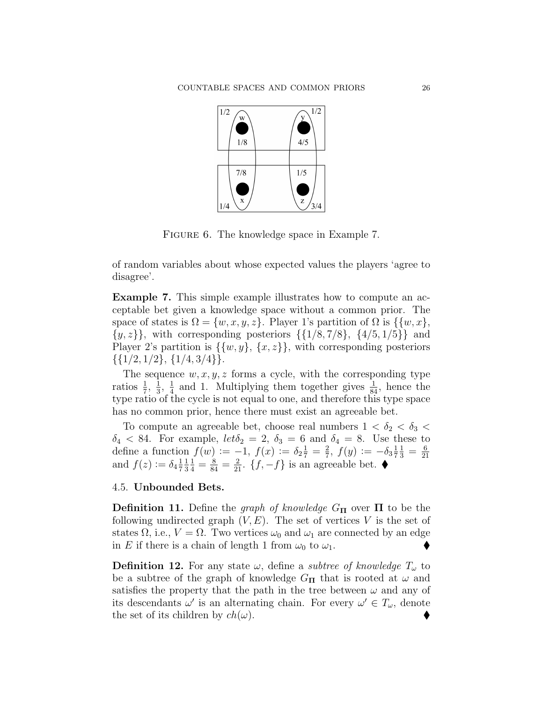

FIGURE 6. The knowledge space in Example 7.

of random variables about whose expected values the players 'agree to disagree'.

Example 7. This simple example illustrates how to compute an acceptable bet given a knowledge space without a common prior. The space of states is  $\Omega = \{w, x, y, z\}$ . Player 1's partition of  $\Omega$  is  $\{\{w, x\},\}$  $\{y, z\}$ , with corresponding posteriors  $\{\{1/8, 7/8\}, \{4/5, 1/5\}\}\$ and Player 2's partition is  $\{\{w, y\}, \{x, z\}\}\$ , with corresponding posteriors  $\{\{1/2, 1/2\}, \{1/4, 3/4\}\}.$ 

The sequence  $w, x, y, z$  forms a cycle, with the corresponding type ratios  $\frac{1}{7}$ ,  $\frac{1}{3}$  $\frac{1}{3}, \frac{1}{4}$  $\frac{1}{4}$  and 1. Multiplying them together gives  $\frac{1}{84}$ , hence the type ratio of the cycle is not equal to one, and therefore this type space has no common prior, hence there must exist an agreeable bet.

To compute an agreeable bet, choose real numbers  $1 < \delta_2 < \delta_3$  $\delta_4$  < 84. For example,  $let \delta_2 = 2$ ,  $\delta_3 = 6$  and  $\delta_4 = 8$ . Use these to define a function  $f(w) := -1, f(x) := \delta_2 \frac{1}{7} = \frac{2}{7}$  $\frac{2}{7}$ ,  $f(y) := -\delta_3 \frac{1}{7}$ 7  $\frac{1}{3} = \frac{6}{21}$ and  $f(z) := \delta_4 \frac{1}{7} \frac{1}{3} \frac{1}{4} = \frac{8}{84} = \frac{2}{21}$ .  $\{f, -f\}$  is an agreeable bet. 7 1 3  $\frac{1}{4} = \frac{8}{84} = \frac{2}{21}$ . {f, -f} is an agreeable bet. ◆

#### 4.5. Unbounded Bets.

**Definition 11.** Define the *graph of knowledge*  $G_{\Pi}$  over  $\Pi$  to be the following undirected graph  $(V, E)$ . The set of vertices V is the set of states  $\Omega$ , i.e.,  $V = \Omega$ . Two vertices  $\omega_0$  and  $\omega_1$  are connected by an edge in E if there is a chain of length 1 from  $\omega_0$  to  $\omega_1$ .

**Definition 12.** For any state  $\omega$ , define a *subtree of knowledge*  $T_{\omega}$  to be a subtree of the graph of knowledge  $G_{\mathbf{\Pi}}$  that is rooted at  $\omega$  and satisfies the property that the path in the tree between  $\omega$  and any of its descendants  $\omega'$  is an alternating chain. For every  $\omega' \in T_{\omega}$ , denote the set of its children by  $ch(\omega)$ .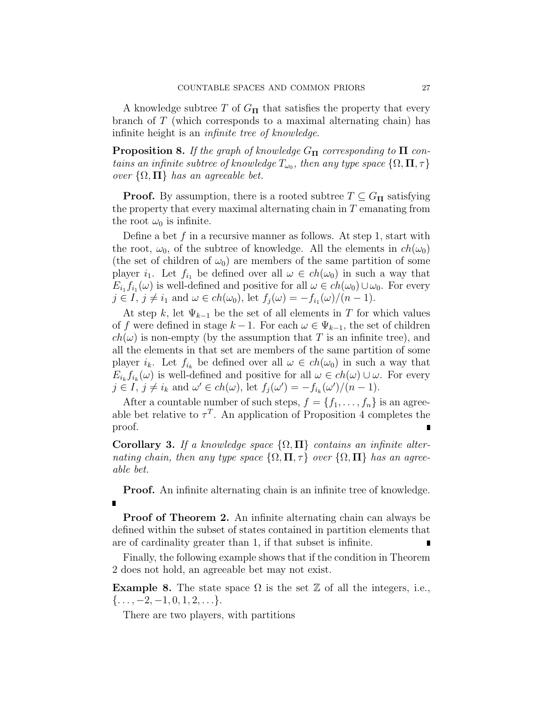A knowledge subtree T of  $G_{\Pi}$  that satisfies the property that every branch of T (which corresponds to a maximal alternating chain) has infinite height is an infinite tree of knowledge.

**Proposition 8.** If the graph of knowledge  $G_{\Pi}$  corresponding to  $\Pi$  contains an infinite subtree of knowledge  $T_{\omega_0}$ , then any type space  $\{\Omega,\Pi,\tau\}$ over  $\{\Omega, \Pi\}$  has an agreeable bet.

**Proof.** By assumption, there is a rooted subtree  $T \subseteq G_{\Pi}$  satisfying the property that every maximal alternating chain in T emanating from the root  $\omega_0$  is infinite.

Define a bet f in a recursive manner as follows. At step 1, start with the root,  $\omega_0$ , of the subtree of knowledge. All the elements in  $ch(\omega_0)$ (the set of children of  $\omega_0$ ) are members of the same partition of some player  $i_1$ . Let  $f_{i_1}$  be defined over all  $\omega \in ch(\omega_0)$  in such a way that  $E_{i_1} f_{i_1}(\omega)$  is well-defined and positive for all  $\omega \in ch(\omega_0) \cup \omega_0$ . For every  $j \in I$ ,  $j \neq i_1$  and  $\omega \in ch(\omega_0)$ , let  $f_j(\omega) = -f_{i_1}(\omega)/(n-1)$ .

At step k, let  $\Psi_{k-1}$  be the set of all elements in T for which values of f were defined in stage  $k-1$ . For each  $\omega \in \Psi_{k-1}$ , the set of children  $ch(\omega)$  is non-empty (by the assumption that T is an infinite tree), and all the elements in that set are members of the same partition of some player  $i_k$ . Let  $f_{i_k}$  be defined over all  $\omega \in ch(\omega_0)$  in such a way that  $E_{i_k} f_{i_k}(\omega)$  is well-defined and positive for all  $\omega \in ch(\omega) \cup \omega$ . For every  $j \in I$ ,  $j \neq i_k$  and  $\omega' \in ch(\omega)$ , let  $f_j(\omega') = -f_{i_k}(\omega')/(n-1)$ .

After a countable number of such steps,  $f = \{f_1, \ldots, f_n\}$  is an agreeable bet relative to  $\tau^T$ . An application of Proposition 4 completes the proof.

Corollary 3. If a knowledge space  $\{\Omega, \Pi\}$  contains an infinite alternating chain, then any type space  $\{\Omega, \Pi, \tau\}$  over  $\{\Omega, \Pi\}$  has an agreeable bet.

**Proof.** An infinite alternating chain is an infinite tree of knowledge.  $\blacksquare$ 

**Proof of Theorem 2.** An infinite alternating chain can always be defined within the subset of states contained in partition elements that are of cardinality greater than 1, if that subset is infinite.

Finally, the following example shows that if the condition in Theorem 2 does not hold, an agreeable bet may not exist.

**Example 8.** The state space  $\Omega$  is the set  $\mathbb{Z}$  of all the integers, i.e.,  $\{\ldots, -2, -1, 0, 1, 2, \ldots\}.$ 

There are two players, with partitions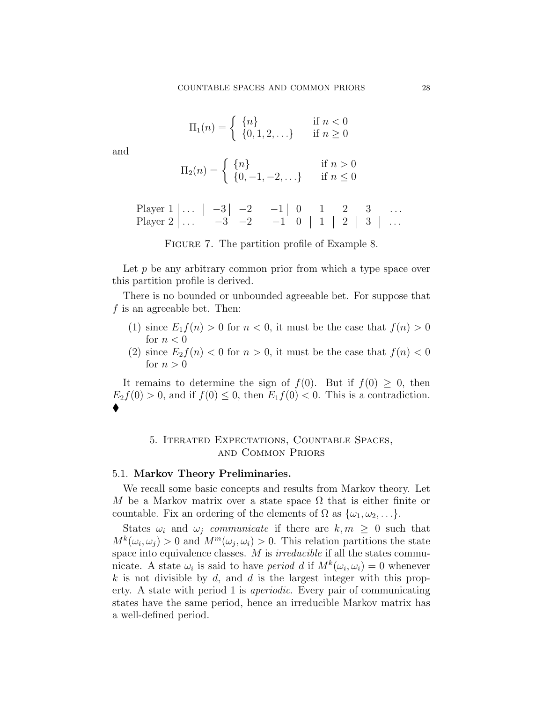$$
\Pi_1(n) = \begin{cases} \n\{n\} & \text{if } n < 0\\ \n\{0, 1, 2, \ldots\} & \text{if } n \ge 0 \n\end{cases}
$$

and

$$
\Pi_2(n) = \begin{cases} \n\{n\} & \text{if } n > 0\\ \n\{0, -1, -2, \ldots\} & \text{if } n \le 0 \n\end{cases}
$$

| Player $1   \ldots   -3   -2  $ |           |               | $\vert -1 \vert$ |  |  |  |
|---------------------------------|-----------|---------------|------------------|--|--|--|
| Player 2                        | $-3$ $-3$ | $\rightarrow$ | $-1$             |  |  |  |

| FIGURE 7. The partition profile of Example 8. |  |  |  |
|-----------------------------------------------|--|--|--|
|                                               |  |  |  |

Let  $p$  be any arbitrary common prior from which a type space over this partition profile is derived.

There is no bounded or unbounded agreeable bet. For suppose that f is an agreeable bet. Then:

- (1) since  $E_1 f(n) > 0$  for  $n < 0$ , it must be the case that  $f(n) > 0$ for  $n < 0$
- (2) since  $E_2 f(n) < 0$  for  $n > 0$ , it must be the case that  $f(n) < 0$ for  $n > 0$

It remains to determine the sign of  $f(0)$ . But if  $f(0) \geq 0$ , then  $E_2f(0) > 0$ , and if  $f(0) \leq 0$ , then  $E_1f(0) < 0$ . This is a contradiction.  $\blacklozenge$ 

#### 5. Iterated Expectations, Countable Spaces, and Common Priors

#### 5.1. Markov Theory Preliminaries.

We recall some basic concepts and results from Markov theory. Let M be a Markov matrix over a state space  $\Omega$  that is either finite or countable. Fix an ordering of the elements of  $\Omega$  as  $\{\omega_1, \omega_2, \ldots\}$ .

States  $\omega_i$  and  $\omega_j$  communicate if there are  $k, m \geq 0$  such that  $M^k(\omega_i, \omega_j) > 0$  and  $M^m(\omega_j, \omega_i) > 0$ . This relation partitions the state space into equivalence classes.  $M$  is *irreducible* if all the states communicate. A state  $\omega_i$  is said to have *period d* if  $M^k(\omega_i, \omega_i) = 0$  whenever k is not divisible by d, and d is the largest integer with this property. A state with period 1 is aperiodic. Every pair of communicating states have the same period, hence an irreducible Markov matrix has a well-defined period.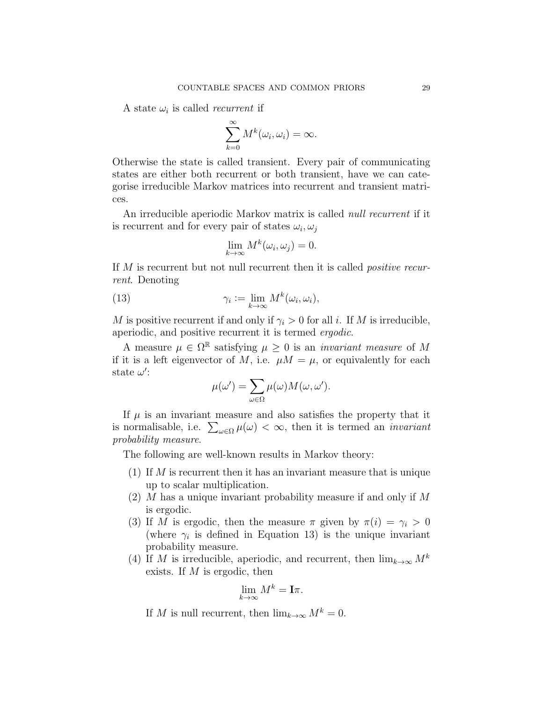A state  $\omega_i$  is called *recurrent* if

$$
\sum_{k=0}^{\infty} M^k(\omega_i, \omega_i) = \infty.
$$

Otherwise the state is called transient. Every pair of communicating states are either both recurrent or both transient, have we can categorise irreducible Markov matrices into recurrent and transient matrices.

An irreducible aperiodic Markov matrix is called *null recurrent* if it is recurrent and for every pair of states  $\omega_i, \omega_j$ 

$$
\lim_{k \to \infty} M^k(\omega_i, \omega_j) = 0.
$$

If M is recurrent but not null recurrent then it is called *positive recur*rent. Denoting

(13) 
$$
\gamma_i := \lim_{k \to \infty} M^k(\omega_i, \omega_i),
$$

M is positive recurrent if and only if  $\gamma_i > 0$  for all i. If M is irreducible, aperiodic, and positive recurrent it is termed ergodic.

A measure  $\mu \in \Omega^{\mathbb{R}}$  satisfying  $\mu \geq 0$  is an *invariant measure* of M if it is a left eigenvector of M, i.e.  $\mu M = \mu$ , or equivalently for each state  $\omega'$ :

$$
\mu(\omega') = \sum_{\omega \in \Omega} \mu(\omega) M(\omega, \omega').
$$

If  $\mu$  is an invariant measure and also satisfies the property that it is normalisable, i.e.  $\sum_{\omega \in \Omega} \mu(\omega) < \infty$ , then it is termed an *invariant* probability measure.

The following are well-known results in Markov theory:

- (1) If  $M$  is recurrent then it has an invariant measure that is unique up to scalar multiplication.
- $(2)$  M has a unique invariant probability measure if and only if M is ergodic.
- (3) If M is ergodic, then the measure  $\pi$  given by  $\pi(i) = \gamma_i > 0$ (where  $\gamma_i$  is defined in Equation 13) is the unique invariant probability measure.
- (4) If M is irreducible, aperiodic, and recurrent, then  $\lim_{k\to\infty} M^k$ exists. If  $M$  is ergodic, then

$$
\lim_{k \to \infty} M^k = \mathbf{I}\pi.
$$

If M is null recurrent, then  $\lim_{k\to\infty} M^k = 0$ .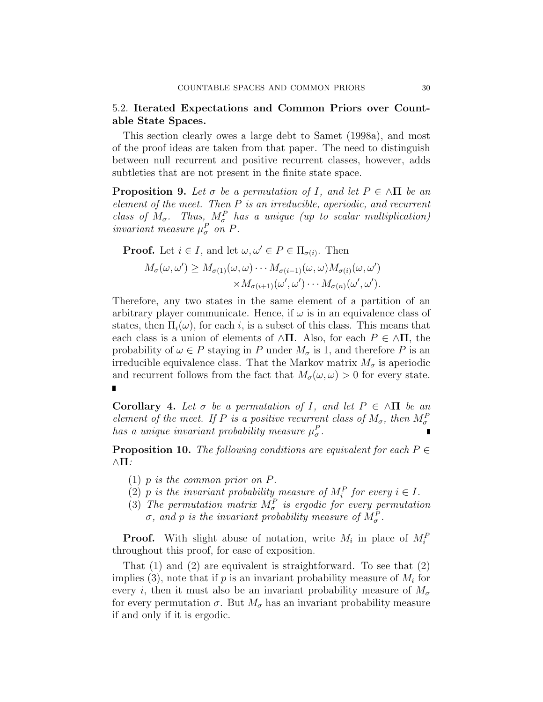#### 5.2. Iterated Expectations and Common Priors over Countable State Spaces.

This section clearly owes a large debt to Samet (1998a), and most of the proof ideas are taken from that paper. The need to distinguish between null recurrent and positive recurrent classes, however, adds subtleties that are not present in the finite state space.

**Proposition 9.** Let  $\sigma$  be a permutation of I, and let  $P \in \Lambda \Pi$  be an element of the meet. Then P is an irreducible, aperiodic, and recurrent class of  $M_{\sigma}$ . Thus,  $M_{\sigma}^P$  has a unique (up to scalar multiplication) invariant measure  $\mu_{\sigma}^{P}$  on P.

**Proof.** Let  $i \in I$ , and let  $\omega, \omega' \in P \in \Pi_{\sigma(i)}$ . Then

$$
M_{\sigma}(\omega, \omega') \ge M_{\sigma(1)}(\omega, \omega) \cdots M_{\sigma(i-1)}(\omega, \omega) M_{\sigma(i)}(\omega, \omega')
$$

$$
\times M_{\sigma(i+1)}(\omega', \omega') \cdots M_{\sigma(n)}(\omega', \omega').
$$

Therefore, any two states in the same element of a partition of an arbitrary player communicate. Hence, if  $\omega$  is in an equivalence class of states, then  $\Pi_i(\omega)$ , for each i, is a subset of this class. This means that each class is a union of elements of  $\wedge \Pi$ . Also, for each  $P \in \wedge \Pi$ , the probability of  $\omega \in P$  staying in P under  $M_{\sigma}$  is 1, and therefore P is an irreducible equivalence class. That the Markov matrix  $M_{\sigma}$  is aperiodic and recurrent follows from the fact that  $M_{\sigma}(\omega, \omega) > 0$  for every state.

**Corollary 4.** Let  $\sigma$  be a permutation of I, and let  $P \in \Lambda \Pi$  be an element of the meet. If P is a positive recurrent class of  $M_{\sigma}$ , then  $M_{\sigma}^F$ has a unique invariant probability measure  $\mu_{\sigma}^P$ .

**Proposition 10.** The following conditions are equivalent for each  $P \in$  $\wedge \Pi$ :

- (1) p is the common prior on P.
- (2) p is the invariant probability measure of  $M_i^P$  for every  $i \in I$ .
- (3) The permutation matrix  $M_{\sigma}^P$  is ergodic for every permutation  $\sigma$ , and p is the invariant probability measure of  $M_{\sigma}^P$ .

**Proof.** With slight abuse of notation, write  $M_i$  in place of  $M_i^F$ throughout this proof, for ease of exposition.

That (1) and (2) are equivalent is straightforward. To see that (2) implies (3), note that if  $p$  is an invariant probability measure of  $M_i$  for every i, then it must also be an invariant probability measure of  $M_{\sigma}$ for every permutation  $\sigma$ . But  $M_{\sigma}$  has an invariant probability measure if and only if it is ergodic.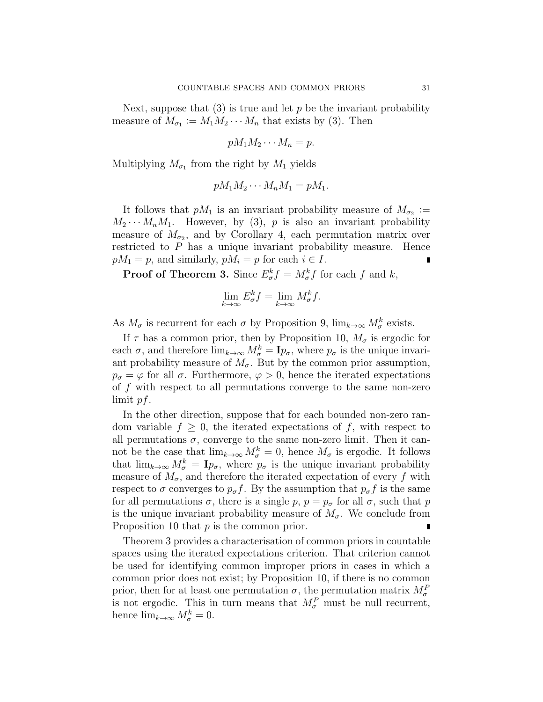Next, suppose that  $(3)$  is true and let p be the invariant probability measure of  $M_{\sigma_1} := M_1 M_2 \cdots M_n$  that exists by (3). Then

$$
pM_1M_2\cdots M_n=p.
$$

Multiplying  $M_{\sigma_1}$  from the right by  $M_1$  yields

$$
pM_1M_2\cdots M_nM_1=pM_1.
$$

It follows that  $pM_1$  is an invariant probability measure of  $M_{\sigma_2}$  :=  $M_2 \cdots M_n M_1$ . However, by (3), p is also an invariant probability measure of  $M_{\sigma_2}$ , and by Corollary 4, each permutation matrix over restricted to P has a unique invariant probability measure. Hence  $pM_1 = p$ , and similarly,  $pM_i = p$  for each  $i \in I$ .

**Proof of Theorem 3.** Since  $E^k_\sigma f = M^k_\sigma f$  for each f and k,

$$
\lim_{k \to \infty} E_{\sigma}^k f = \lim_{k \to \infty} M_{\sigma}^k f.
$$

As  $M_{\sigma}$  is recurrent for each  $\sigma$  by Proposition 9,  $\lim_{k\to\infty} M_{\sigma}^k$  exists.

If  $\tau$  has a common prior, then by Proposition 10,  $M_{\sigma}$  is ergodic for each  $\sigma$ , and therefore  $\lim_{k\to\infty} M_{\sigma}^k = \mathbf{I}_{p_{\sigma}}$ , where  $p_{\sigma}$  is the unique invariant probability measure of  $M_{\sigma}$ . But by the common prior assumption,  $p_{\sigma} = \varphi$  for all  $\sigma$ . Furthermore,  $\varphi > 0$ , hence the iterated expectations of f with respect to all permutations converge to the same non-zero limit pf.

In the other direction, suppose that for each bounded non-zero random variable  $f \geq 0$ , the iterated expectations of f, with respect to all permutations  $\sigma$ , converge to the same non-zero limit. Then it cannot be the case that  $\lim_{k\to\infty} M_{\sigma}^k = 0$ , hence  $M_{\sigma}$  is ergodic. It follows that  $\lim_{k\to\infty} M_{\sigma}^k = \mathbf{I}_{p_{\sigma}}$ , where  $p_{\sigma}$  is the unique invariant probability measure of  $M_{\sigma}$ , and therefore the iterated expectation of every f with respect to  $\sigma$  converges to  $p_{\sigma}f$ . By the assumption that  $p_{\sigma}f$  is the same for all permutations  $\sigma$ , there is a single p,  $p = p_{\sigma}$  for all  $\sigma$ , such that p is the unique invariant probability measure of  $M_{\sigma}$ . We conclude from Proposition 10 that p is the common prior.

Theorem 3 provides a characterisation of common priors in countable spaces using the iterated expectations criterion. That criterion cannot be used for identifying common improper priors in cases in which a common prior does not exist; by Proposition 10, if there is no common prior, then for at least one permutation  $\sigma$ , the permutation matrix  $M_{\sigma}^{F}$ is not ergodic. This in turn means that  $M_{\sigma}^{P}$  must be null recurrent, hence  $\lim_{k\to\infty} M_{\sigma}^k = 0.$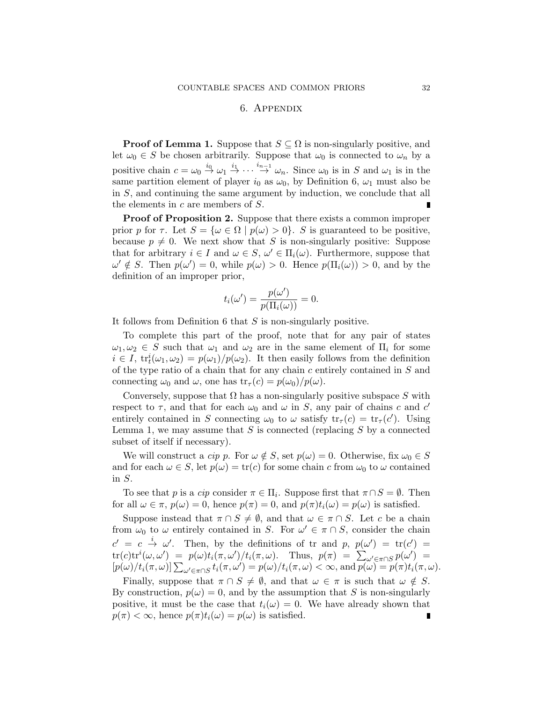#### 6. Appendix

**Proof of Lemma 1.** Suppose that  $S \subseteq \Omega$  is non-singularly positive, and let  $\omega_0 \in S$  be chosen arbitrarily. Suppose that  $\omega_0$  is connected to  $\omega_n$  by a positive chain  $c = \omega_0 \stackrel{i_0}{\rightarrow} \omega_1 \stackrel{i_1}{\rightarrow} \cdots \stackrel{i_{n-1}}{\rightarrow} \omega_n$ . Since  $\omega_0$  is in S and  $\omega_1$  is in the same partition element of player  $i_0$  as  $\omega_0$ , by Definition 6,  $\omega_1$  must also be in S, and continuing the same argument by induction, we conclude that all the elements in  $c$  are members of  $S$ .

Proof of Proposition 2. Suppose that there exists a common improper prior p for  $\tau$ . Let  $S = {\omega \in \Omega \mid p(\omega) > 0}$ . S is guaranteed to be positive, because  $p \neq 0$ . We next show that S is non-singularly positive: Suppose that for arbitrary  $i \in I$  and  $\omega \in S$ ,  $\omega' \in \Pi_i(\omega)$ . Furthermore, suppose that  $\omega' \notin S$ . Then  $p(\omega') = 0$ , while  $p(\omega) > 0$ . Hence  $p(\Pi_i(\omega)) > 0$ , and by the definition of an improper prior,

$$
t_i(\omega') = \frac{p(\omega')}{p(\Pi_i(\omega))} = 0.
$$

It follows from Definition 6 that  $S$  is non-singularly positive.

To complete this part of the proof, note that for any pair of states  $\omega_1, \omega_2 \in S$  such that  $\omega_1$  and  $\omega_2$  are in the same element of  $\Pi_i$  for some  $i \in I$ ,  $\text{tr}_t^i(\omega_1, \omega_2) = p(\omega_1)/p(\omega_2)$ . It then easily follows from the definition of the type ratio of a chain that for any chain c entirely contained in S and connecting  $\omega_0$  and  $\omega$ , one has  $\text{tr}_{\tau}(c) = p(\omega_0)/p(\omega)$ .

Conversely, suppose that  $\Omega$  has a non-singularly positive subspace S with respect to  $\tau$ , and that for each  $\omega_0$  and  $\omega$  in S, any pair of chains c and c' entirely contained in S connecting  $\omega_0$  to  $\omega$  satisfy  $\text{tr}_{\tau}(c) = \text{tr}_{\tau}(c')$ . Using Lemma 1, we may assume that  $S$  is connected (replacing  $S$  by a connected subset of itself if necessary).

We will construct a cip p. For  $\omega \notin S$ , set  $p(\omega) = 0$ . Otherwise, fix  $\omega_0 \in S$ and for each  $\omega \in S$ , let  $p(\omega) = \text{tr}(c)$  for some chain c from  $\omega_0$  to  $\omega$  contained in S.

To see that p is a *cip* consider  $\pi \in \Pi_i$ . Suppose first that  $\pi \cap S = \emptyset$ . Then for all  $\omega \in \pi$ ,  $p(\omega) = 0$ , hence  $p(\pi) = 0$ , and  $p(\pi)t_i(\omega) = p(\omega)$  is satisfied.

Suppose instead that  $\pi \cap S \neq \emptyset$ , and that  $\omega \in \pi \cap S$ . Let c be a chain from  $\omega_0$  to  $\omega$  entirely contained in S. For  $\omega' \in \pi \cap S$ , consider the chain  $c' = c \stackrel{i}{\rightarrow} \omega'$ . Then, by the definitions of tr and p,  $p(\omega') = \text{tr}(c') =$  $tr(c) tr^{i}(\omega, \omega') = p(\omega) t_{i}(\pi, \omega') / t_{i}(\pi, \omega)$ . Thus,  $p(\pi) = \sum_{\omega' \in \pi \cap S} p(\omega') =$  $[p(\omega)/t_i(\pi, \omega)] \sum_{\omega' \in \pi \cap S} t_i(\pi, \omega') = p(\omega)/t_i(\pi, \omega) < \infty$ , and  $p(\omega) = p(\pi)t_i(\pi, \omega)$ .

Finally, suppose that  $\pi \cap S \neq \emptyset$ , and that  $\omega \in \pi$  is such that  $\omega \notin S$ . By construction,  $p(\omega) = 0$ , and by the assumption that S is non-singularly positive, it must be the case that  $t_i(\omega) = 0$ . We have already shown that  $p(\pi) < \infty$ , hence  $p(\pi)t_i(\omega) = p(\omega)$  is satisfied.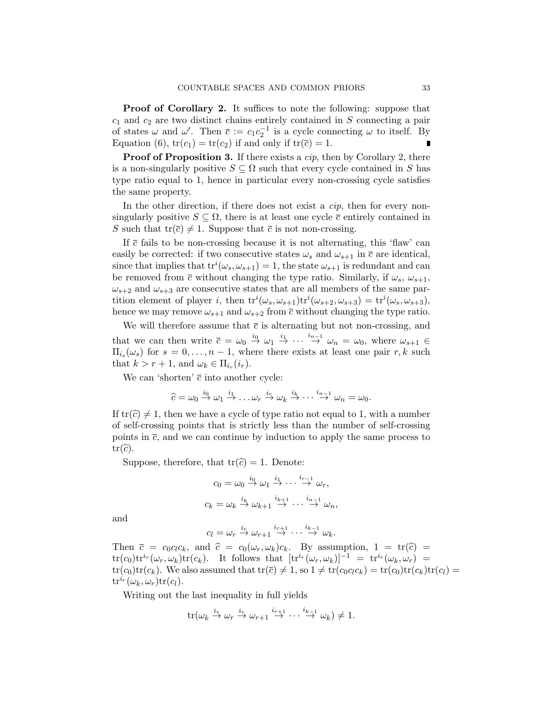Proof of Corollary 2. It suffices to note the following: suppose that  $c_1$  and  $c_2$  are two distinct chains entirely contained in S connecting a pair of states  $\omega$  and  $\omega'$ . Then  $\bar{c} := c_1 c_2^{-1}$  is a cycle connecting  $\omega$  to itself. By Equation (6),  $tr(c_1) = tr(c_2)$  if and only if  $tr(\overline{c}) = 1$ .

**Proof of Proposition 3.** If there exists a  $cip$ , then by Corollary 2, there is a non-singularly positive  $S \subseteq \Omega$  such that every cycle contained in S has type ratio equal to 1, hence in particular every non-crossing cycle satisfies the same property.

In the other direction, if there does not exist a  $\dot{c}ip$ , then for every nonsingularly positive  $S \subseteq \Omega$ , there is at least one cycle  $\bar{c}$  entirely contained in S such that  $tr(\overline{c}) \neq 1$ . Suppose that  $\overline{c}$  is not non-crossing.

If  $\bar{c}$  fails to be non-crossing because it is not alternating, this 'flaw' can easily be corrected: if two consecutive states  $\omega_s$  and  $\omega_{s+1}$  in  $\bar{c}$  are identical, since that implies that  $\text{tr}^i(\omega_s, \omega_{s+1}) = 1$ , the state  $\omega_{s+1}$  is redundant and can be removed from  $\bar{c}$  without changing the type ratio. Similarly, if  $\omega_s$ ,  $\omega_{s+1}$ ,  $\omega_{s+2}$  and  $\omega_{s+3}$  are consecutive states that are all members of the same partition element of player *i*, then  $\text{tr}^i(\omega_s, \omega_{s+1}) \text{tr}^i(\omega_{s+2}, \omega_{s+3}) = \text{tr}^i(\omega_s, \omega_{s+3}),$ hence we may remove  $\omega_{s+1}$  and  $\omega_{s+2}$  from  $\bar{c}$  without changing the type ratio.

We will therefore assume that  $\bar{c}$  is alternating but not non-crossing, and that we can then write  $\bar{c} = \omega_0 \stackrel{i_0}{\rightarrow} \omega_1 \stackrel{i_1}{\rightarrow} \cdots \stackrel{i_{n-1}}{\rightarrow} \omega_n = \omega_0$ , where  $\omega_{s+1} \in$  $\Pi_{i_s}(\omega_s)$  for  $s = 0, \ldots, n-1$ , where there exists at least one pair  $r, k$  such that  $k > r + 1$ , and  $\omega_k \in \Pi_{i_r}(i_r)$ .

We can 'shorten'  $\bar{c}$  into another cycle:

$$
\widehat{c}=\omega_0\stackrel{i_0}{\rightarrow}\omega_1\stackrel{i_1}{\rightarrow}\ldots\omega_r\stackrel{i_r}{\rightarrow}\omega_k\stackrel{i_k}{\rightarrow}\cdots\stackrel{i_{n-1}}{\rightarrow}\omega_n=\omega_0.
$$

If  $tr(\hat{c}) \neq 1$ , then we have a cycle of type ratio not equal to 1, with a number of self-crossing points that is strictly less than the number of self-crossing points in  $\bar{c}$ , and we can continue by induction to apply the same process to  $tr(\widehat{c})$ .

Suppose, therefore, that  $tr(\hat{c}) = 1$ . Denote:

$$
c_0 = \omega_0 \stackrel{i_0}{\rightarrow} \omega_1 \stackrel{i_1}{\rightarrow} \cdots \stackrel{i_{r-1}}{\rightarrow} \omega_r,
$$
  

$$
c_k = \omega_k \stackrel{i_k}{\rightarrow} \omega_{k+1} \stackrel{i_{k+1}}{\rightarrow} \cdots \stackrel{i_{n-1}}{\rightarrow} \omega_n,
$$

and

$$
c_l = \omega_r \stackrel{i_r}{\rightarrow} \omega_{r+1} \stackrel{i_{r+1}}{\rightarrow} \cdots \stackrel{i_{k-1}}{\rightarrow} \omega_k.
$$

Then  $\bar{c} = c_0 c_l c_k$ , and  $\hat{c} = c_0(\omega_r, \omega_k)c_k$ . By assumption,  $1 = \text{tr}(\hat{c}) =$  $tr(c_0)tr^{i_r}(\omega_r,\omega_k)tr(c_k)$ . It follows that  $[tr^{i_r}(\omega_r,\omega_k)]^{-1} = tr^{i_r}(\omega_k,\omega_r)$  $tr(c_0)tr(c_k)$ . We also assumed that  $tr(\overline{c}) \neq 1$ , so  $1 \neq tr(c_0c_lc_k) = tr(c_0)tr(c_k)tr(c_l)$  $\mathrm{tr}^{i r}(\omega_k, \omega_r) \mathrm{tr}(c_l).$ 

Writing out the last inequality in full yields

$$
\operatorname{tr}(\omega_k \stackrel{i_r}{\to} \omega_r \stackrel{i_r}{\to} \omega_{r+1} \stackrel{i_{r+1}}{\to} \cdots \stackrel{i_{k-1}}{\to} \omega_k) \neq 1.
$$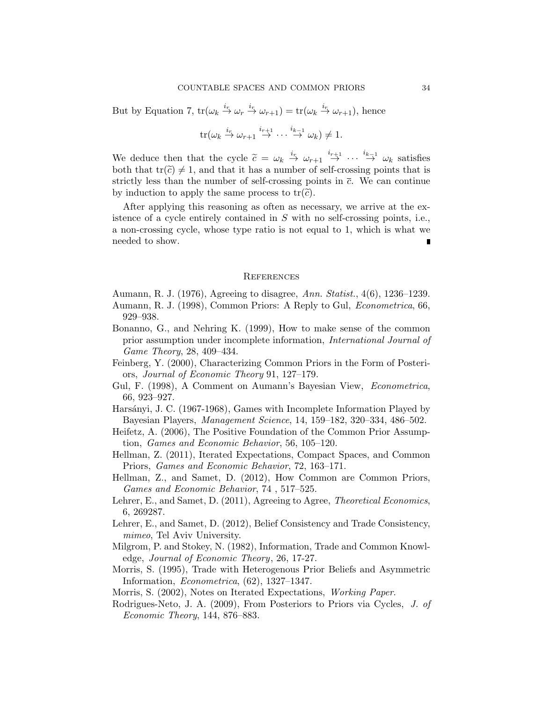But by Equation 7,  $\text{tr}(\omega_k \overset{i_r}{\to} \omega_r \overset{i_r}{\to} \omega_{r+1}) = \text{tr}(\omega_k \overset{i_r}{\to} \omega_{r+1}),$  hence

$$
\operatorname{tr}(\omega_k \stackrel{i_r}{\to} \omega_{r+1} \stackrel{i_{r+1}}{\to} \cdots \stackrel{i_{k-1}}{\to} \omega_k) \neq 1.
$$

We deduce then that the cycle  $\tilde{c} = \omega_k \stackrel{i_r}{\rightarrow} \omega_{r+1} \stackrel{i_{r+1}}{\rightarrow} \cdots \stackrel{i_{k-1}}{\rightarrow} \omega_k$  satisfies<br>both that  $tr(\tilde{c}) \neq 1$  and that it has a number of solf crossing points that is both that  $tr(\tilde{c}) \neq 1$ , and that it has a number of self-crossing points that is strictly less than the number of self-crossing points in  $\bar{c}$ . We can continue by induction to apply the same process to  $tr(\tilde{c})$ .

After applying this reasoning as often as necessary, we arrive at the existence of a cycle entirely contained in S with no self-crossing points, i.e., a non-crossing cycle, whose type ratio is not equal to 1, which is what we needed to show.

#### **REFERENCES**

Aumann, R. J. (1976), Agreeing to disagree, Ann. Statist., 4(6), 1236–1239.

- Aumann, R. J. (1998), Common Priors: A Reply to Gul, Econometrica, 66, 929–938.
- Bonanno, G., and Nehring K. (1999), How to make sense of the common prior assumption under incomplete information, International Journal of Game Theory, 28, 409–434.
- Feinberg, Y. (2000), Characterizing Common Priors in the Form of Posteriors, Journal of Economic Theory 91, 127–179.
- Gul, F. (1998), A Comment on Aumann's Bayesian View, Econometrica, 66, 923–927.
- Harsányi, J. C. (1967-1968), Games with Incomplete Information Played by Bayesian Players, Management Science, 14, 159–182, 320–334, 486–502.
- Heifetz, A. (2006), The Positive Foundation of the Common Prior Assumption, Games and Economic Behavior, 56, 105–120.
- Hellman, Z. (2011), Iterated Expectations, Compact Spaces, and Common Priors, Games and Economic Behavior, 72, 163–171.
- Hellman, Z., and Samet, D. (2012), How Common are Common Priors, Games and Economic Behavior, 74 , 517–525.
- Lehrer, E., and Samet, D. (2011), Agreeing to Agree, *Theoretical Economics*, 6, 269287.
- Lehrer, E., and Samet, D. (2012), Belief Consistency and Trade Consistency, mimeo, Tel Aviv University.
- Milgrom, P. and Stokey, N. (1982), Information, Trade and Common Knowledge, Journal of Economic Theory, 26, 17-27.
- Morris, S. (1995), Trade with Heterogenous Prior Beliefs and Asymmetric Information, Econometrica, (62), 1327–1347.
- Morris, S. (2002), Notes on Iterated Expectations, Working Paper.
- Rodrigues-Neto, J. A. (2009), From Posteriors to Priors via Cycles, J. of Economic Theory, 144, 876–883.